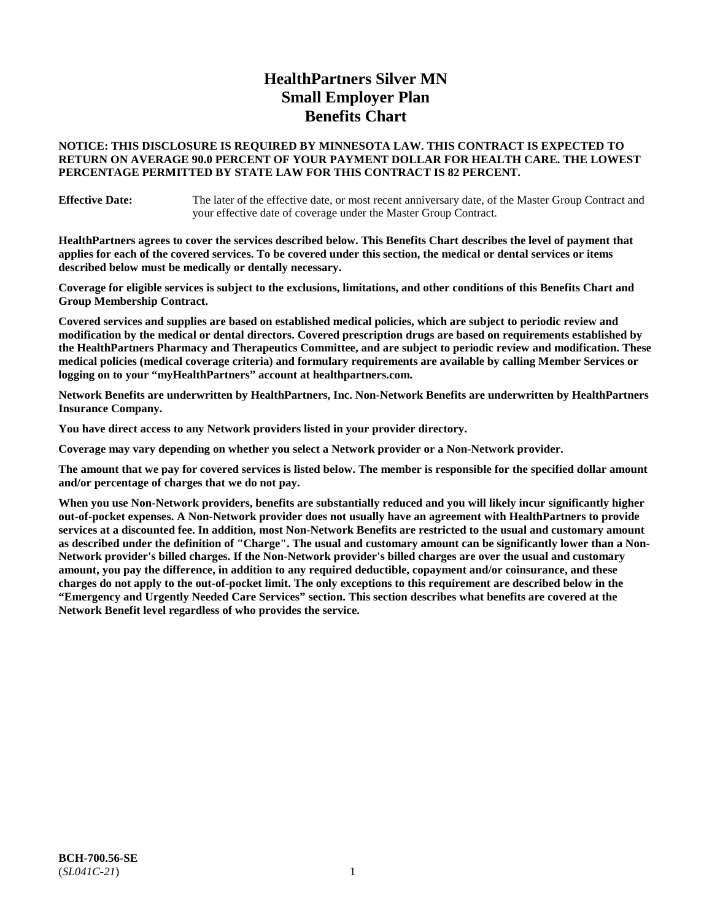# **HealthPartners Silver MN Small Employer Plan Benefits Chart**

### **NOTICE: THIS DISCLOSURE IS REQUIRED BY MINNESOTA LAW. THIS CONTRACT IS EXPECTED TO RETURN ON AVERAGE 90.0 PERCENT OF YOUR PAYMENT DOLLAR FOR HEALTH CARE. THE LOWEST PERCENTAGE PERMITTED BY STATE LAW FOR THIS CONTRACT IS 82 PERCENT.**

**Effective Date:** The later of the effective date, or most recent anniversary date, of the Master Group Contract and your effective date of coverage under the Master Group Contract.

**HealthPartners agrees to cover the services described below. This Benefits Chart describes the level of payment that applies for each of the covered services. To be covered under this section, the medical or dental services or items described below must be medically or dentally necessary.**

**Coverage for eligible services is subject to the exclusions, limitations, and other conditions of this Benefits Chart and Group Membership Contract.**

**Covered services and supplies are based on established medical policies, which are subject to periodic review and modification by the medical or dental directors. Covered prescription drugs are based on requirements established by the HealthPartners Pharmacy and Therapeutics Committee, and are subject to periodic review and modification. These medical policies (medical coverage criteria) and formulary requirements are available by calling Member Services or logging on to your "myHealthPartners" account at [healthpartners.com.](https://www.healthpartners.com/hp/index.html)**

**Network Benefits are underwritten by HealthPartners, Inc. Non-Network Benefits are underwritten by HealthPartners Insurance Company.** 

**You have direct access to any Network providers listed in your provider directory.**

**Coverage may vary depending on whether you select a Network provider or a Non-Network provider.**

**The amount that we pay for covered services is listed below. The member is responsible for the specified dollar amount and/or percentage of charges that we do not pay.**

**When you use Non-Network providers, benefits are substantially reduced and you will likely incur significantly higher out-of-pocket expenses. A Non-Network provider does not usually have an agreement with HealthPartners to provide services at a discounted fee. In addition, most Non-Network Benefits are restricted to the usual and customary amount as described under the definition of "Charge". The usual and customary amount can be significantly lower than a Non-Network provider's billed charges. If the Non-Network provider's billed charges are over the usual and customary amount, you pay the difference, in addition to any required deductible, copayment and/or coinsurance, and these charges do not apply to the out-of-pocket limit. The only exceptions to this requirement are described below in the "Emergency and Urgently Needed Care Services" section. This section describes what benefits are covered at the Network Benefit level regardless of who provides the service.**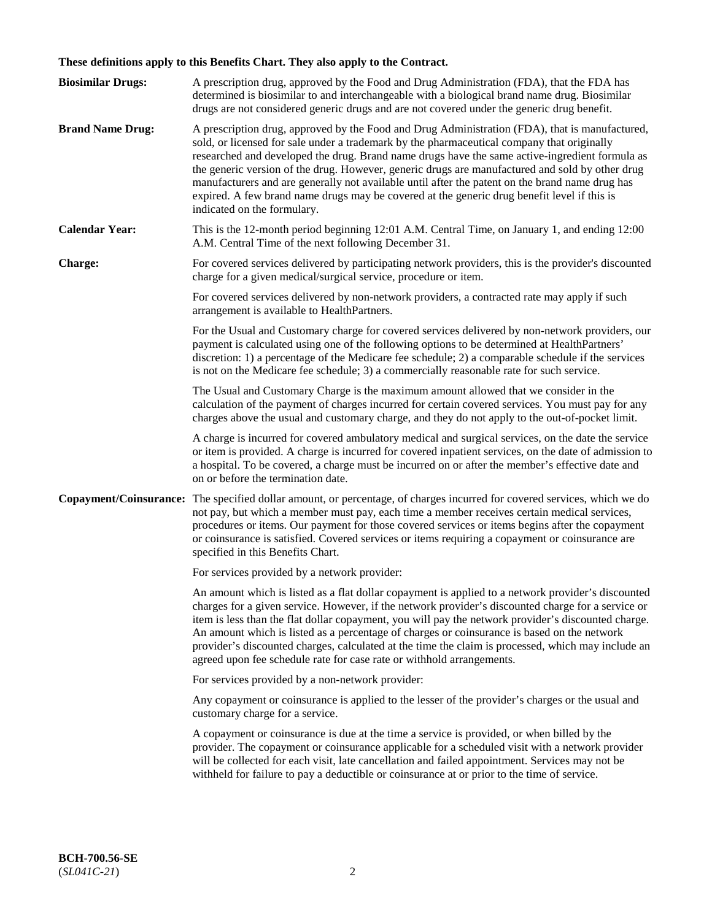# **These definitions apply to this Benefits Chart. They also apply to the Contract.**

| <b>Biosimilar Drugs:</b> | A prescription drug, approved by the Food and Drug Administration (FDA), that the FDA has<br>determined is biosimilar to and interchangeable with a biological brand name drug. Biosimilar<br>drugs are not considered generic drugs and are not covered under the generic drug benefit.                                                                                                                                                                                                                                                                                                                                           |
|--------------------------|------------------------------------------------------------------------------------------------------------------------------------------------------------------------------------------------------------------------------------------------------------------------------------------------------------------------------------------------------------------------------------------------------------------------------------------------------------------------------------------------------------------------------------------------------------------------------------------------------------------------------------|
| <b>Brand Name Drug:</b>  | A prescription drug, approved by the Food and Drug Administration (FDA), that is manufactured,<br>sold, or licensed for sale under a trademark by the pharmaceutical company that originally<br>researched and developed the drug. Brand name drugs have the same active-ingredient formula as<br>the generic version of the drug. However, generic drugs are manufactured and sold by other drug<br>manufacturers and are generally not available until after the patent on the brand name drug has<br>expired. A few brand name drugs may be covered at the generic drug benefit level if this is<br>indicated on the formulary. |
| <b>Calendar Year:</b>    | This is the 12-month period beginning 12:01 A.M. Central Time, on January 1, and ending 12:00<br>A.M. Central Time of the next following December 31.                                                                                                                                                                                                                                                                                                                                                                                                                                                                              |
| <b>Charge:</b>           | For covered services delivered by participating network providers, this is the provider's discounted<br>charge for a given medical/surgical service, procedure or item.                                                                                                                                                                                                                                                                                                                                                                                                                                                            |
|                          | For covered services delivered by non-network providers, a contracted rate may apply if such<br>arrangement is available to HealthPartners.                                                                                                                                                                                                                                                                                                                                                                                                                                                                                        |
|                          | For the Usual and Customary charge for covered services delivered by non-network providers, our<br>payment is calculated using one of the following options to be determined at HealthPartners'<br>discretion: 1) a percentage of the Medicare fee schedule; 2) a comparable schedule if the services<br>is not on the Medicare fee schedule; 3) a commercially reasonable rate for such service.                                                                                                                                                                                                                                  |
|                          | The Usual and Customary Charge is the maximum amount allowed that we consider in the<br>calculation of the payment of charges incurred for certain covered services. You must pay for any<br>charges above the usual and customary charge, and they do not apply to the out-of-pocket limit.                                                                                                                                                                                                                                                                                                                                       |
|                          | A charge is incurred for covered ambulatory medical and surgical services, on the date the service<br>or item is provided. A charge is incurred for covered inpatient services, on the date of admission to<br>a hospital. To be covered, a charge must be incurred on or after the member's effective date and<br>on or before the termination date.                                                                                                                                                                                                                                                                              |
| Copayment/Coinsurance:   | The specified dollar amount, or percentage, of charges incurred for covered services, which we do<br>not pay, but which a member must pay, each time a member receives certain medical services,<br>procedures or items. Our payment for those covered services or items begins after the copayment<br>or coinsurance is satisfied. Covered services or items requiring a copayment or coinsurance are<br>specified in this Benefits Chart.                                                                                                                                                                                        |
|                          | For services provided by a network provider:                                                                                                                                                                                                                                                                                                                                                                                                                                                                                                                                                                                       |
|                          | An amount which is listed as a flat dollar copayment is applied to a network provider's discounted<br>charges for a given service. However, if the network provider's discounted charge for a service or<br>item is less than the flat dollar copayment, you will pay the network provider's discounted charge.<br>An amount which is listed as a percentage of charges or coinsurance is based on the network<br>provider's discounted charges, calculated at the time the claim is processed, which may include an<br>agreed upon fee schedule rate for case rate or withhold arrangements.                                      |
|                          | For services provided by a non-network provider:                                                                                                                                                                                                                                                                                                                                                                                                                                                                                                                                                                                   |
|                          | Any copayment or coinsurance is applied to the lesser of the provider's charges or the usual and<br>customary charge for a service.                                                                                                                                                                                                                                                                                                                                                                                                                                                                                                |
|                          | A copayment or coinsurance is due at the time a service is provided, or when billed by the<br>provider. The copayment or coinsurance applicable for a scheduled visit with a network provider<br>will be collected for each visit, late cancellation and failed appointment. Services may not be<br>withheld for failure to pay a deductible or coinsurance at or prior to the time of service.                                                                                                                                                                                                                                    |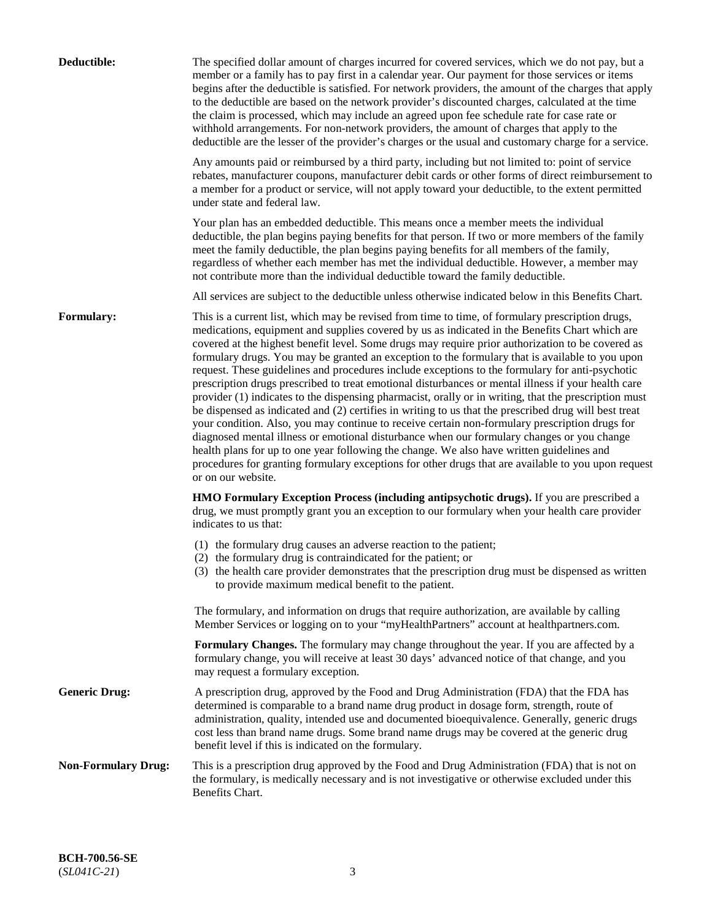| Deductible:                | The specified dollar amount of charges incurred for covered services, which we do not pay, but a<br>member or a family has to pay first in a calendar year. Our payment for those services or items<br>begins after the deductible is satisfied. For network providers, the amount of the charges that apply<br>to the deductible are based on the network provider's discounted charges, calculated at the time<br>the claim is processed, which may include an agreed upon fee schedule rate for case rate or<br>withhold arrangements. For non-network providers, the amount of charges that apply to the<br>deductible are the lesser of the provider's charges or the usual and customary charge for a service.                                                                                                                                                                                                                                                                                                                                                                                                                                                                                                                                             |
|----------------------------|------------------------------------------------------------------------------------------------------------------------------------------------------------------------------------------------------------------------------------------------------------------------------------------------------------------------------------------------------------------------------------------------------------------------------------------------------------------------------------------------------------------------------------------------------------------------------------------------------------------------------------------------------------------------------------------------------------------------------------------------------------------------------------------------------------------------------------------------------------------------------------------------------------------------------------------------------------------------------------------------------------------------------------------------------------------------------------------------------------------------------------------------------------------------------------------------------------------------------------------------------------------|
|                            | Any amounts paid or reimbursed by a third party, including but not limited to: point of service<br>rebates, manufacturer coupons, manufacturer debit cards or other forms of direct reimbursement to<br>a member for a product or service, will not apply toward your deductible, to the extent permitted<br>under state and federal law.                                                                                                                                                                                                                                                                                                                                                                                                                                                                                                                                                                                                                                                                                                                                                                                                                                                                                                                        |
|                            | Your plan has an embedded deductible. This means once a member meets the individual<br>deductible, the plan begins paying benefits for that person. If two or more members of the family<br>meet the family deductible, the plan begins paying benefits for all members of the family,<br>regardless of whether each member has met the individual deductible. However, a member may<br>not contribute more than the individual deductible toward the family deductible.                                                                                                                                                                                                                                                                                                                                                                                                                                                                                                                                                                                                                                                                                                                                                                                         |
|                            | All services are subject to the deductible unless otherwise indicated below in this Benefits Chart.                                                                                                                                                                                                                                                                                                                                                                                                                                                                                                                                                                                                                                                                                                                                                                                                                                                                                                                                                                                                                                                                                                                                                              |
| <b>Formulary:</b>          | This is a current list, which may be revised from time to time, of formulary prescription drugs,<br>medications, equipment and supplies covered by us as indicated in the Benefits Chart which are<br>covered at the highest benefit level. Some drugs may require prior authorization to be covered as<br>formulary drugs. You may be granted an exception to the formulary that is available to you upon<br>request. These guidelines and procedures include exceptions to the formulary for anti-psychotic<br>prescription drugs prescribed to treat emotional disturbances or mental illness if your health care<br>provider (1) indicates to the dispensing pharmacist, orally or in writing, that the prescription must<br>be dispensed as indicated and (2) certifies in writing to us that the prescribed drug will best treat<br>your condition. Also, you may continue to receive certain non-formulary prescription drugs for<br>diagnosed mental illness or emotional disturbance when our formulary changes or you change<br>health plans for up to one year following the change. We also have written guidelines and<br>procedures for granting formulary exceptions for other drugs that are available to you upon request<br>or on our website. |
|                            | <b>HMO Formulary Exception Process (including antipsychotic drugs).</b> If you are prescribed a<br>drug, we must promptly grant you an exception to our formulary when your health care provider<br>indicates to us that:                                                                                                                                                                                                                                                                                                                                                                                                                                                                                                                                                                                                                                                                                                                                                                                                                                                                                                                                                                                                                                        |
|                            | (1) the formulary drug causes an adverse reaction to the patient;<br>(2) the formulary drug is contraindicated for the patient; or<br>(3) the health care provider demonstrates that the prescription drug must be dispensed as written<br>to provide maximum medical benefit to the patient.                                                                                                                                                                                                                                                                                                                                                                                                                                                                                                                                                                                                                                                                                                                                                                                                                                                                                                                                                                    |
|                            | The formulary, and information on drugs that require authorization, are available by calling<br>Member Services or logging on to your "myHealthPartners" account at healthpartners.com.                                                                                                                                                                                                                                                                                                                                                                                                                                                                                                                                                                                                                                                                                                                                                                                                                                                                                                                                                                                                                                                                          |
|                            | Formulary Changes. The formulary may change throughout the year. If you are affected by a<br>formulary change, you will receive at least 30 days' advanced notice of that change, and you<br>may request a formulary exception.                                                                                                                                                                                                                                                                                                                                                                                                                                                                                                                                                                                                                                                                                                                                                                                                                                                                                                                                                                                                                                  |
| <b>Generic Drug:</b>       | A prescription drug, approved by the Food and Drug Administration (FDA) that the FDA has<br>determined is comparable to a brand name drug product in dosage form, strength, route of<br>administration, quality, intended use and documented bioequivalence. Generally, generic drugs<br>cost less than brand name drugs. Some brand name drugs may be covered at the generic drug<br>benefit level if this is indicated on the formulary.                                                                                                                                                                                                                                                                                                                                                                                                                                                                                                                                                                                                                                                                                                                                                                                                                       |
| <b>Non-Formulary Drug:</b> | This is a prescription drug approved by the Food and Drug Administration (FDA) that is not on<br>the formulary, is medically necessary and is not investigative or otherwise excluded under this<br>Benefits Chart.                                                                                                                                                                                                                                                                                                                                                                                                                                                                                                                                                                                                                                                                                                                                                                                                                                                                                                                                                                                                                                              |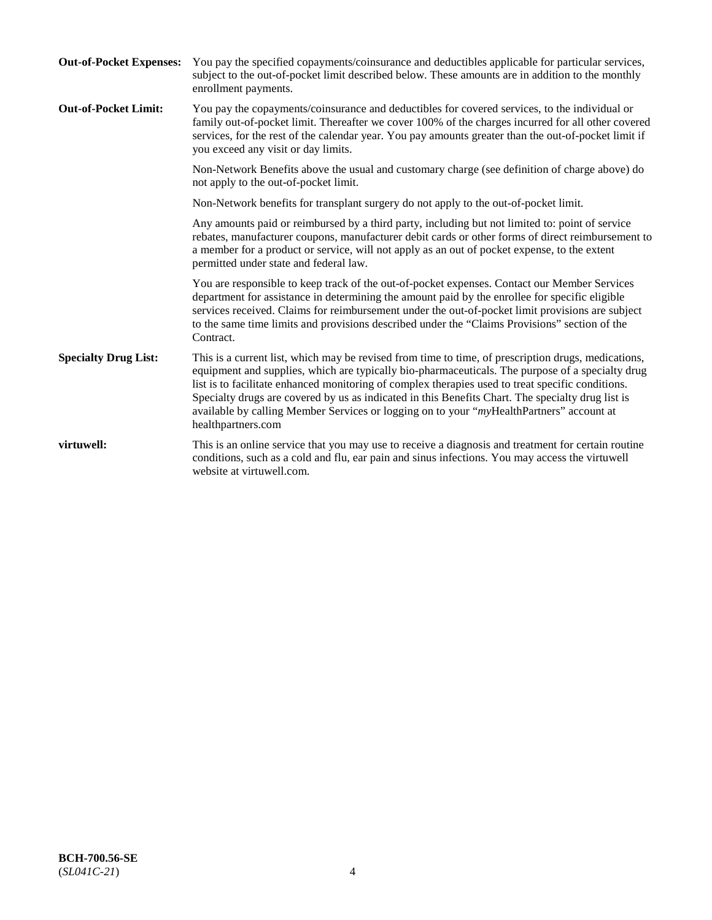| <b>Out-of-Pocket Expenses:</b> | You pay the specified copayments/coinsurance and deductibles applicable for particular services,<br>subject to the out-of-pocket limit described below. These amounts are in addition to the monthly<br>enrollment payments.                                                                                                                                                                                                                                                                                                        |
|--------------------------------|-------------------------------------------------------------------------------------------------------------------------------------------------------------------------------------------------------------------------------------------------------------------------------------------------------------------------------------------------------------------------------------------------------------------------------------------------------------------------------------------------------------------------------------|
| <b>Out-of-Pocket Limit:</b>    | You pay the copayments/coinsurance and deductibles for covered services, to the individual or<br>family out-of-pocket limit. Thereafter we cover 100% of the charges incurred for all other covered<br>services, for the rest of the calendar year. You pay amounts greater than the out-of-pocket limit if<br>you exceed any visit or day limits.                                                                                                                                                                                  |
|                                | Non-Network Benefits above the usual and customary charge (see definition of charge above) do<br>not apply to the out-of-pocket limit.                                                                                                                                                                                                                                                                                                                                                                                              |
|                                | Non-Network benefits for transplant surgery do not apply to the out-of-pocket limit.                                                                                                                                                                                                                                                                                                                                                                                                                                                |
|                                | Any amounts paid or reimbursed by a third party, including but not limited to: point of service<br>rebates, manufacturer coupons, manufacturer debit cards or other forms of direct reimbursement to<br>a member for a product or service, will not apply as an out of pocket expense, to the extent<br>permitted under state and federal law.                                                                                                                                                                                      |
|                                | You are responsible to keep track of the out-of-pocket expenses. Contact our Member Services<br>department for assistance in determining the amount paid by the enrollee for specific eligible<br>services received. Claims for reimbursement under the out-of-pocket limit provisions are subject<br>to the same time limits and provisions described under the "Claims Provisions" section of the<br>Contract.                                                                                                                    |
| <b>Specialty Drug List:</b>    | This is a current list, which may be revised from time to time, of prescription drugs, medications,<br>equipment and supplies, which are typically bio-pharmaceuticals. The purpose of a specialty drug<br>list is to facilitate enhanced monitoring of complex therapies used to treat specific conditions.<br>Specialty drugs are covered by us as indicated in this Benefits Chart. The specialty drug list is<br>available by calling Member Services or logging on to your "myHealthPartners" account at<br>healthpartners.com |
| virtuwell:                     | This is an online service that you may use to receive a diagnosis and treatment for certain routine<br>conditions, such as a cold and flu, ear pain and sinus infections. You may access the virtuwell<br>website at virtuwell.com.                                                                                                                                                                                                                                                                                                 |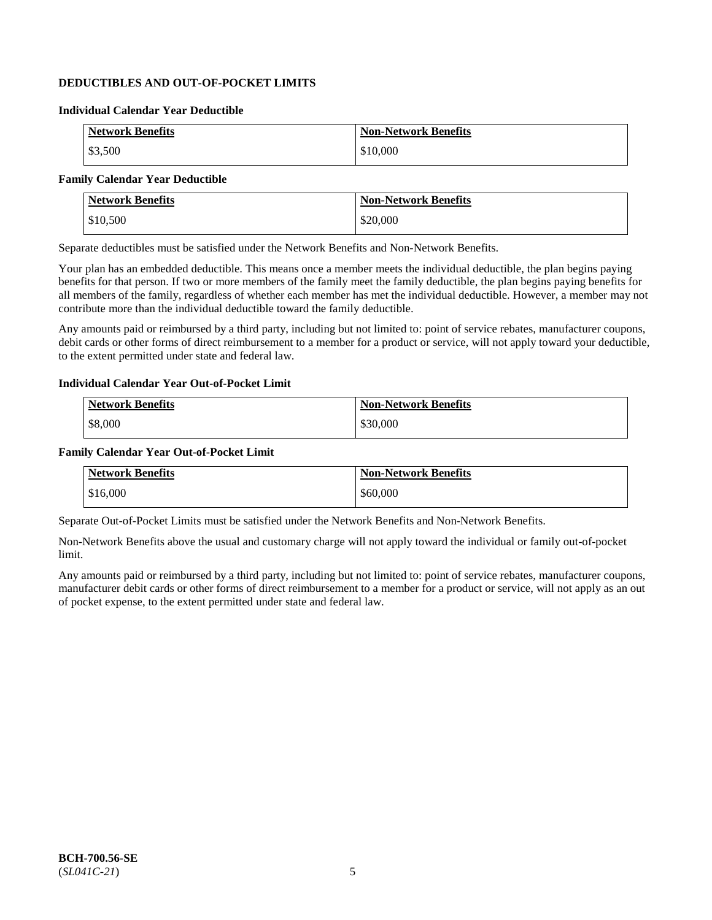## **DEDUCTIBLES AND OUT-OF-POCKET LIMITS**

### **Individual Calendar Year Deductible**

| <b>Network Benefits</b> | <b>Non-Network Benefits</b> |
|-------------------------|-----------------------------|
| \$3,500                 | \$10,000                    |

### **Family Calendar Year Deductible**

| <b>Network Benefits</b> | <b>Non-Network Benefits</b> |
|-------------------------|-----------------------------|
| \$10,500                | \$20,000                    |

Separate deductibles must be satisfied under the Network Benefits and Non-Network Benefits.

Your plan has an embedded deductible. This means once a member meets the individual deductible, the plan begins paying benefits for that person. If two or more members of the family meet the family deductible, the plan begins paying benefits for all members of the family, regardless of whether each member has met the individual deductible. However, a member may not contribute more than the individual deductible toward the family deductible.

Any amounts paid or reimbursed by a third party, including but not limited to: point of service rebates, manufacturer coupons, debit cards or other forms of direct reimbursement to a member for a product or service, will not apply toward your deductible, to the extent permitted under state and federal law.

#### **Individual Calendar Year Out-of-Pocket Limit**

| <b>Network Benefits</b> | <b>Non-Network Benefits</b> |
|-------------------------|-----------------------------|
| \$8,000                 | \$30,000                    |

#### **Family Calendar Year Out-of-Pocket Limit**

| <b>Network Benefits</b> | Non-Network Benefits |
|-------------------------|----------------------|
| \$16,000                | \$60,000             |

Separate Out-of-Pocket Limits must be satisfied under the Network Benefits and Non-Network Benefits.

Non-Network Benefits above the usual and customary charge will not apply toward the individual or family out-of-pocket limit.

Any amounts paid or reimbursed by a third party, including but not limited to: point of service rebates, manufacturer coupons, manufacturer debit cards or other forms of direct reimbursement to a member for a product or service, will not apply as an out of pocket expense, to the extent permitted under state and federal law.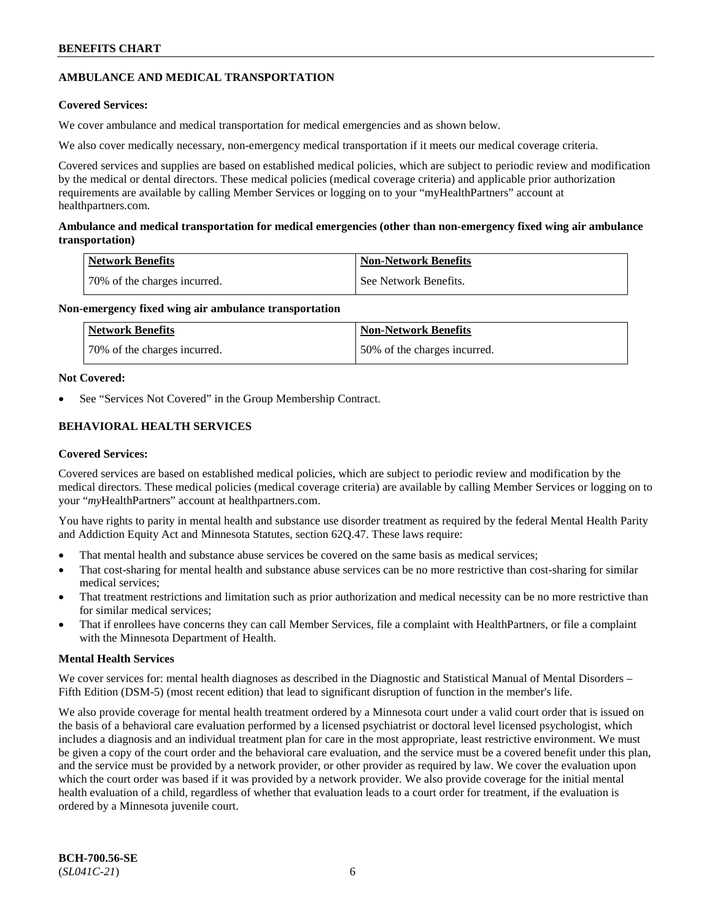## **AMBULANCE AND MEDICAL TRANSPORTATION**

### **Covered Services:**

We cover ambulance and medical transportation for medical emergencies and as shown below.

We also cover medically necessary, non-emergency medical transportation if it meets our medical coverage criteria.

Covered services and supplies are based on established medical policies, which are subject to periodic review and modification by the medical or dental directors. These medical policies (medical coverage criteria) and applicable prior authorization requirements are available by calling Member Services or logging on to your "myHealthPartners" account at [healthpartners.com.](https://www.healthpartners.com/hp/index.html)

### **Ambulance and medical transportation for medical emergencies (other than non-emergency fixed wing air ambulance transportation)**

| Network Benefits             | <b>Non-Network Benefits</b> |
|------------------------------|-----------------------------|
| 70% of the charges incurred. | See Network Benefits.       |

### **Non-emergency fixed wing air ambulance transportation**

| Network Benefits             | <b>Non-Network Benefits</b>  |
|------------------------------|------------------------------|
| 70% of the charges incurred. | 50% of the charges incurred. |

### **Not Covered:**

See "Services Not Covered" in the Group Membership Contract.

## **BEHAVIORAL HEALTH SERVICES**

### **Covered Services:**

Covered services are based on established medical policies, which are subject to periodic review and modification by the medical directors. These medical policies (medical coverage criteria) are available by calling Member Services or logging on to your "*my*HealthPartners" account at [healthpartners.com.](http://www.healthpartners.com/)

You have rights to parity in mental health and substance use disorder treatment as required by the federal Mental Health Parity and Addiction Equity Act and Minnesota Statutes, section 62Q.47. These laws require:

- That mental health and substance abuse services be covered on the same basis as medical services;
- That cost-sharing for mental health and substance abuse services can be no more restrictive than cost-sharing for similar medical services;
- That treatment restrictions and limitation such as prior authorization and medical necessity can be no more restrictive than for similar medical services;
- That if enrollees have concerns they can call Member Services, file a complaint with HealthPartners, or file a complaint with the Minnesota Department of Health.

### **Mental Health Services**

We cover services for: mental health diagnoses as described in the Diagnostic and Statistical Manual of Mental Disorders – Fifth Edition (DSM-5) (most recent edition) that lead to significant disruption of function in the member's life.

We also provide coverage for mental health treatment ordered by a Minnesota court under a valid court order that is issued on the basis of a behavioral care evaluation performed by a licensed psychiatrist or doctoral level licensed psychologist, which includes a diagnosis and an individual treatment plan for care in the most appropriate, least restrictive environment. We must be given a copy of the court order and the behavioral care evaluation, and the service must be a covered benefit under this plan, and the service must be provided by a network provider, or other provider as required by law. We cover the evaluation upon which the court order was based if it was provided by a network provider. We also provide coverage for the initial mental health evaluation of a child, regardless of whether that evaluation leads to a court order for treatment, if the evaluation is ordered by a Minnesota juvenile court.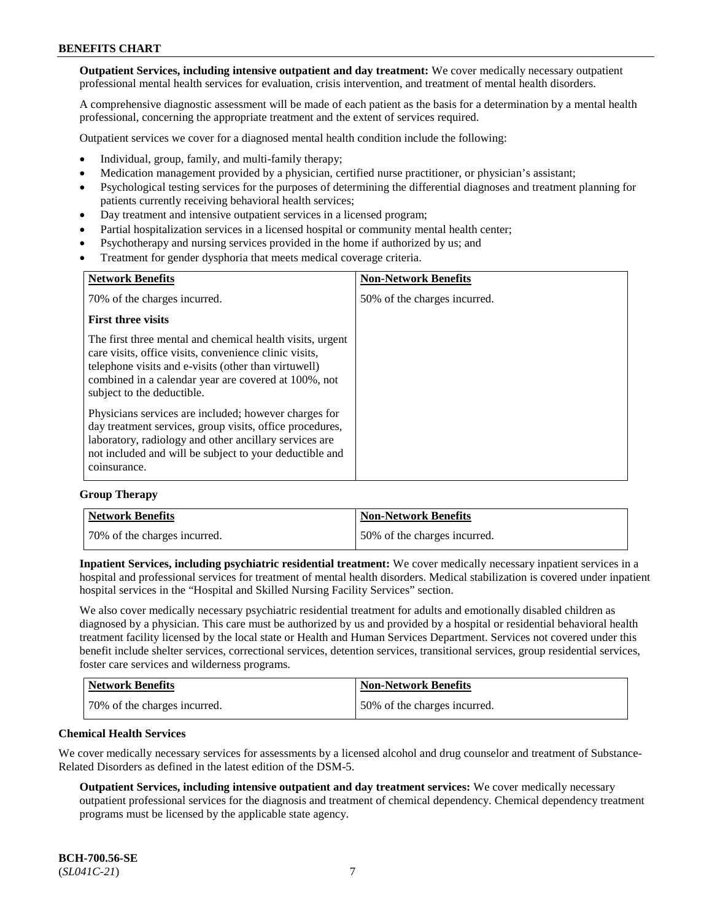**Outpatient Services, including intensive outpatient and day treatment:** We cover medically necessary outpatient professional mental health services for evaluation, crisis intervention, and treatment of mental health disorders.

A comprehensive diagnostic assessment will be made of each patient as the basis for a determination by a mental health professional, concerning the appropriate treatment and the extent of services required.

Outpatient services we cover for a diagnosed mental health condition include the following:

- Individual, group, family, and multi-family therapy;
- Medication management provided by a physician, certified nurse practitioner, or physician's assistant;
- Psychological testing services for the purposes of determining the differential diagnoses and treatment planning for patients currently receiving behavioral health services;
- Day treatment and intensive outpatient services in a licensed program;
- Partial hospitalization services in a licensed hospital or community mental health center;
- Psychotherapy and nursing services provided in the home if authorized by us; and
- Treatment for gender dysphoria that meets medical coverage criteria.

| <b>Network Benefits</b>                                                                                                                                                                                                                                           | <b>Non-Network Benefits</b>  |
|-------------------------------------------------------------------------------------------------------------------------------------------------------------------------------------------------------------------------------------------------------------------|------------------------------|
| 70% of the charges incurred.                                                                                                                                                                                                                                      | 50% of the charges incurred. |
| <b>First three visits</b>                                                                                                                                                                                                                                         |                              |
| The first three mental and chemical health visits, urgent<br>care visits, office visits, convenience clinic visits,<br>telephone visits and e-visits (other than virtuwell)<br>combined in a calendar year are covered at 100%, not<br>subject to the deductible. |                              |
| Physicians services are included; however charges for<br>day treatment services, group visits, office procedures,<br>laboratory, radiology and other ancillary services are<br>not included and will be subject to your deductible and<br>coinsurance.            |                              |

#### **Group Therapy**

| Network Benefits             | <b>Non-Network Benefits</b>  |
|------------------------------|------------------------------|
| 70% of the charges incurred. | 50% of the charges incurred. |

**Inpatient Services, including psychiatric residential treatment:** We cover medically necessary inpatient services in a hospital and professional services for treatment of mental health disorders. Medical stabilization is covered under inpatient hospital services in the "Hospital and Skilled Nursing Facility Services" section.

We also cover medically necessary psychiatric residential treatment for adults and emotionally disabled children as diagnosed by a physician. This care must be authorized by us and provided by a hospital or residential behavioral health treatment facility licensed by the local state or Health and Human Services Department. Services not covered under this benefit include shelter services, correctional services, detention services, transitional services, group residential services, foster care services and wilderness programs.

| <b>Network Benefits</b>      | <b>Non-Network Benefits</b>  |
|------------------------------|------------------------------|
| 70% of the charges incurred. | 50% of the charges incurred. |

#### **Chemical Health Services**

We cover medically necessary services for assessments by a licensed alcohol and drug counselor and treatment of Substance-Related Disorders as defined in the latest edition of the DSM-5.

**Outpatient Services, including intensive outpatient and day treatment services:** We cover medically necessary outpatient professional services for the diagnosis and treatment of chemical dependency. Chemical dependency treatment programs must be licensed by the applicable state agency.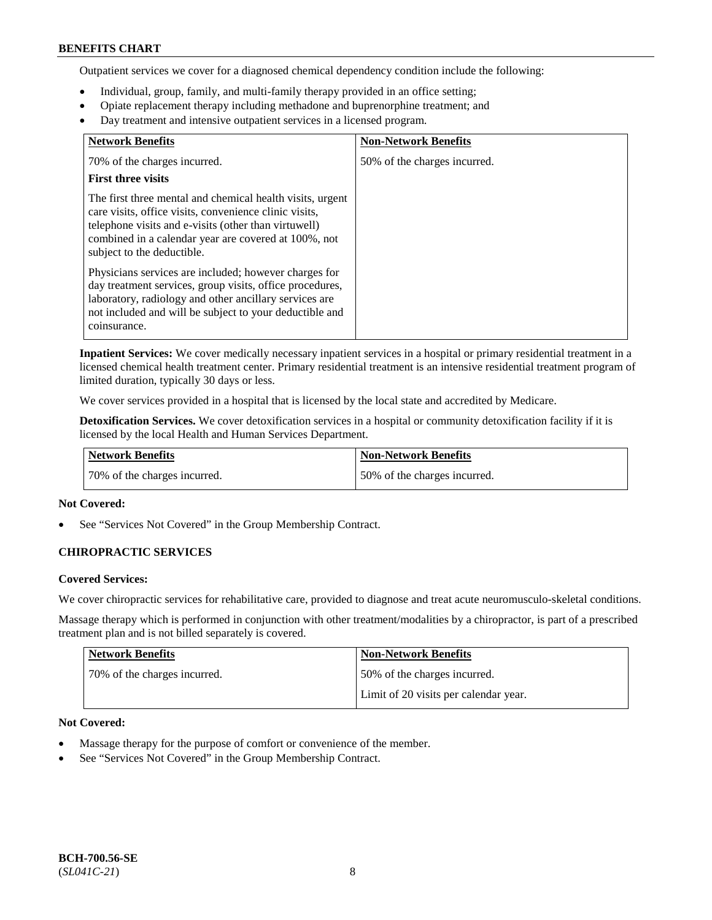Outpatient services we cover for a diagnosed chemical dependency condition include the following:

- Individual, group, family, and multi-family therapy provided in an office setting;
- Opiate replacement therapy including methadone and buprenorphine treatment; and
- Day treatment and intensive outpatient services in a licensed program.

| <b>Network Benefits</b>                                                                                                                                                                                                                                           | <b>Non-Network Benefits</b>  |
|-------------------------------------------------------------------------------------------------------------------------------------------------------------------------------------------------------------------------------------------------------------------|------------------------------|
| 70% of the charges incurred.                                                                                                                                                                                                                                      | 50% of the charges incurred. |
| <b>First three visits</b>                                                                                                                                                                                                                                         |                              |
| The first three mental and chemical health visits, urgent<br>care visits, office visits, convenience clinic visits,<br>telephone visits and e-visits (other than virtuwell)<br>combined in a calendar year are covered at 100%, not<br>subject to the deductible. |                              |
| Physicians services are included; however charges for<br>day treatment services, group visits, office procedures,<br>laboratory, radiology and other ancillary services are<br>not included and will be subject to your deductible and<br>coinsurance.            |                              |

**Inpatient Services:** We cover medically necessary inpatient services in a hospital or primary residential treatment in a licensed chemical health treatment center. Primary residential treatment is an intensive residential treatment program of limited duration, typically 30 days or less.

We cover services provided in a hospital that is licensed by the local state and accredited by Medicare.

**Detoxification Services.** We cover detoxification services in a hospital or community detoxification facility if it is licensed by the local Health and Human Services Department.

| <b>Network Benefits</b>      | Non-Network Benefits         |
|------------------------------|------------------------------|
| 70% of the charges incurred. | 50% of the charges incurred. |

### **Not Covered:**

See "Services Not Covered" in the Group Membership Contract.

### **CHIROPRACTIC SERVICES**

### **Covered Services:**

We cover chiropractic services for rehabilitative care, provided to diagnose and treat acute neuromusculo-skeletal conditions.

Massage therapy which is performed in conjunction with other treatment/modalities by a chiropractor, is part of a prescribed treatment plan and is not billed separately is covered.

| <b>Network Benefits</b>      | <b>Non-Network Benefits</b>           |
|------------------------------|---------------------------------------|
| 70% of the charges incurred. | 50% of the charges incurred.          |
|                              | Limit of 20 visits per calendar year. |

### **Not Covered:**

- Massage therapy for the purpose of comfort or convenience of the member.
- See "Services Not Covered" in the Group Membership Contract.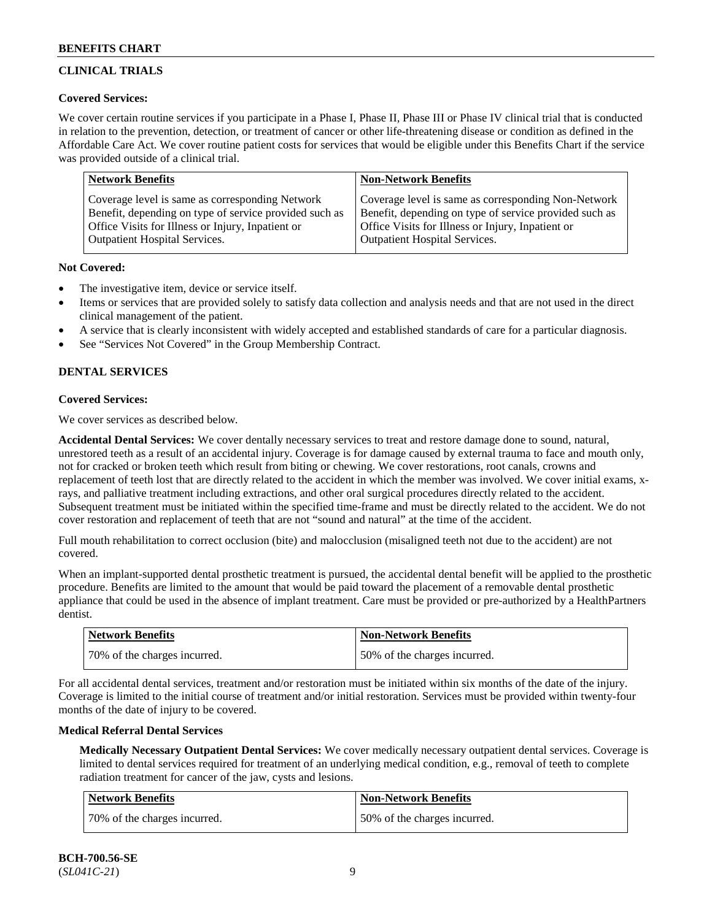## **CLINICAL TRIALS**

### **Covered Services:**

We cover certain routine services if you participate in a Phase I, Phase II, Phase III or Phase IV clinical trial that is conducted in relation to the prevention, detection, or treatment of cancer or other life-threatening disease or condition as defined in the Affordable Care Act. We cover routine patient costs for services that would be eligible under this Benefits Chart if the service was provided outside of a clinical trial.

| <b>Network Benefits</b>                                | <b>Non-Network Benefits</b>                            |
|--------------------------------------------------------|--------------------------------------------------------|
| Coverage level is same as corresponding Network        | Coverage level is same as corresponding Non-Network    |
| Benefit, depending on type of service provided such as | Benefit, depending on type of service provided such as |
| Office Visits for Illness or Injury, Inpatient or      | Office Visits for Illness or Injury, Inpatient or      |
| <b>Outpatient Hospital Services.</b>                   | Outpatient Hospital Services.                          |

### **Not Covered:**

- The investigative item, device or service itself.
- Items or services that are provided solely to satisfy data collection and analysis needs and that are not used in the direct clinical management of the patient.
- A service that is clearly inconsistent with widely accepted and established standards of care for a particular diagnosis.
- See "Services Not Covered" in the Group Membership Contract.

## **DENTAL SERVICES**

## **Covered Services:**

We cover services as described below.

**Accidental Dental Services:** We cover dentally necessary services to treat and restore damage done to sound, natural, unrestored teeth as a result of an accidental injury. Coverage is for damage caused by external trauma to face and mouth only, not for cracked or broken teeth which result from biting or chewing. We cover restorations, root canals, crowns and replacement of teeth lost that are directly related to the accident in which the member was involved. We cover initial exams, xrays, and palliative treatment including extractions, and other oral surgical procedures directly related to the accident. Subsequent treatment must be initiated within the specified time-frame and must be directly related to the accident. We do not cover restoration and replacement of teeth that are not "sound and natural" at the time of the accident.

Full mouth rehabilitation to correct occlusion (bite) and malocclusion (misaligned teeth not due to the accident) are not covered.

When an implant-supported dental prosthetic treatment is pursued, the accidental dental benefit will be applied to the prosthetic procedure. Benefits are limited to the amount that would be paid toward the placement of a removable dental prosthetic appliance that could be used in the absence of implant treatment. Care must be provided or pre-authorized by a HealthPartners dentist.

| <b>Network Benefits</b>      | <b>Non-Network Benefits</b>  |
|------------------------------|------------------------------|
| 70% of the charges incurred. | 50% of the charges incurred. |

For all accidental dental services, treatment and/or restoration must be initiated within six months of the date of the injury. Coverage is limited to the initial course of treatment and/or initial restoration. Services must be provided within twenty-four months of the date of injury to be covered.

### **Medical Referral Dental Services**

**Medically Necessary Outpatient Dental Services:** We cover medically necessary outpatient dental services. Coverage is limited to dental services required for treatment of an underlying medical condition, e.g., removal of teeth to complete radiation treatment for cancer of the jaw, cysts and lesions.

| Network Benefits             | <b>Non-Network Benefits</b>  |
|------------------------------|------------------------------|
| 70% of the charges incurred. | 50% of the charges incurred. |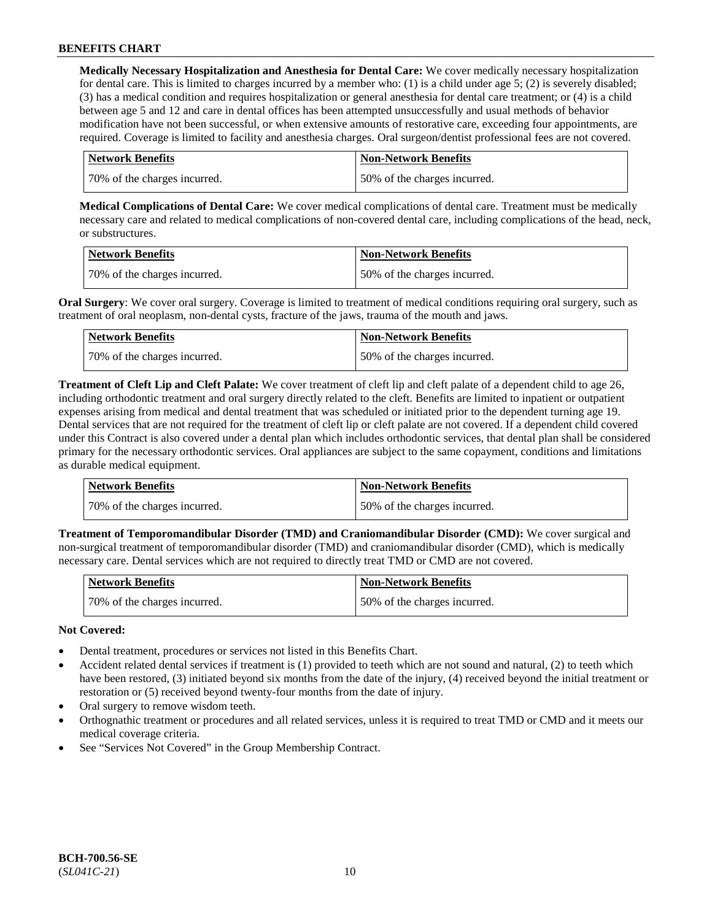**Medically Necessary Hospitalization and Anesthesia for Dental Care:** We cover medically necessary hospitalization for dental care. This is limited to charges incurred by a member who: (1) is a child under age  $5$ ; (2) is severely disabled; (3) has a medical condition and requires hospitalization or general anesthesia for dental care treatment; or (4) is a child between age 5 and 12 and care in dental offices has been attempted unsuccessfully and usual methods of behavior modification have not been successful, or when extensive amounts of restorative care, exceeding four appointments, are required. Coverage is limited to facility and anesthesia charges. Oral surgeon/dentist professional fees are not covered.

| <b>Network Benefits</b>      | <b>Non-Network Benefits</b>  |
|------------------------------|------------------------------|
| 70% of the charges incurred. | 50% of the charges incurred. |

**Medical Complications of Dental Care:** We cover medical complications of dental care. Treatment must be medically necessary care and related to medical complications of non-covered dental care, including complications of the head, neck, or substructures.

| <b>Network Benefits</b>      | <b>Non-Network Benefits</b>  |
|------------------------------|------------------------------|
| 70% of the charges incurred. | 50% of the charges incurred. |

**Oral Surgery**: We cover oral surgery. Coverage is limited to treatment of medical conditions requiring oral surgery, such as treatment of oral neoplasm, non-dental cysts, fracture of the jaws, trauma of the mouth and jaws.

| Network Benefits             | <b>Non-Network Benefits</b>  |
|------------------------------|------------------------------|
| 70% of the charges incurred. | 50% of the charges incurred. |

**Treatment of Cleft Lip and Cleft Palate:** We cover treatment of cleft lip and cleft palate of a dependent child to age 26, including orthodontic treatment and oral surgery directly related to the cleft. Benefits are limited to inpatient or outpatient expenses arising from medical and dental treatment that was scheduled or initiated prior to the dependent turning age 19. Dental services that are not required for the treatment of cleft lip or cleft palate are not covered. If a dependent child covered under this Contract is also covered under a dental plan which includes orthodontic services, that dental plan shall be considered primary for the necessary orthodontic services. Oral appliances are subject to the same copayment, conditions and limitations as durable medical equipment.

| <b>Network Benefits</b>      | <b>Non-Network Benefits</b>  |
|------------------------------|------------------------------|
| 70% of the charges incurred. | 50% of the charges incurred. |

**Treatment of Temporomandibular Disorder (TMD) and Craniomandibular Disorder (CMD):** We cover surgical and non-surgical treatment of temporomandibular disorder (TMD) and craniomandibular disorder (CMD), which is medically necessary care. Dental services which are not required to directly treat TMD or CMD are not covered.

| <b>Network Benefits</b>      | Non-Network Benefits         |
|------------------------------|------------------------------|
| 70% of the charges incurred. | 50% of the charges incurred. |

### **Not Covered:**

- Dental treatment, procedures or services not listed in this Benefits Chart.
- Accident related dental services if treatment is (1) provided to teeth which are not sound and natural, (2) to teeth which have been restored, (3) initiated beyond six months from the date of the injury, (4) received beyond the initial treatment or restoration or (5) received beyond twenty-four months from the date of injury.
- Oral surgery to remove wisdom teeth.
- Orthognathic treatment or procedures and all related services, unless it is required to treat TMD or CMD and it meets our medical coverage criteria.
- See "Services Not Covered" in the Group Membership Contract.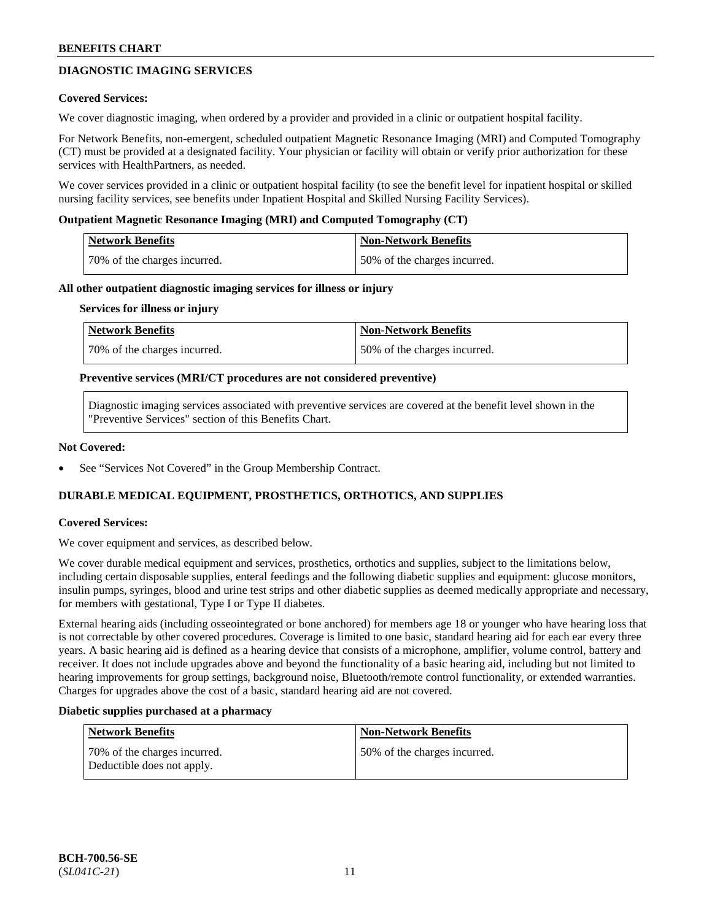## **DIAGNOSTIC IMAGING SERVICES**

#### **Covered Services:**

We cover diagnostic imaging, when ordered by a provider and provided in a clinic or outpatient hospital facility.

For Network Benefits, non-emergent, scheduled outpatient Magnetic Resonance Imaging (MRI) and Computed Tomography (CT) must be provided at a designated facility. Your physician or facility will obtain or verify prior authorization for these services with HealthPartners, as needed.

We cover services provided in a clinic or outpatient hospital facility (to see the benefit level for inpatient hospital or skilled nursing facility services, see benefits under Inpatient Hospital and Skilled Nursing Facility Services).

#### **Outpatient Magnetic Resonance Imaging (MRI) and Computed Tomography (CT)**

| Network Benefits             | <b>Non-Network Benefits</b>  |
|------------------------------|------------------------------|
| 70% of the charges incurred. | 50% of the charges incurred. |

#### **All other outpatient diagnostic imaging services for illness or injury**

#### **Services for illness or injury**

| Network Benefits             | <b>Non-Network Benefits</b>  |
|------------------------------|------------------------------|
| 70% of the charges incurred. | 50% of the charges incurred. |

#### **Preventive services (MRI/CT procedures are not considered preventive)**

Diagnostic imaging services associated with preventive services are covered at the benefit level shown in the "Preventive Services" section of this Benefits Chart.

#### **Not Covered:**

See "Services Not Covered" in the Group Membership Contract.

### **DURABLE MEDICAL EQUIPMENT, PROSTHETICS, ORTHOTICS, AND SUPPLIES**

### **Covered Services:**

We cover equipment and services, as described below.

We cover durable medical equipment and services, prosthetics, orthotics and supplies, subject to the limitations below, including certain disposable supplies, enteral feedings and the following diabetic supplies and equipment: glucose monitors, insulin pumps, syringes, blood and urine test strips and other diabetic supplies as deemed medically appropriate and necessary, for members with gestational, Type I or Type II diabetes.

External hearing aids (including osseointegrated or bone anchored) for members age 18 or younger who have hearing loss that is not correctable by other covered procedures. Coverage is limited to one basic, standard hearing aid for each ear every three years. A basic hearing aid is defined as a hearing device that consists of a microphone, amplifier, volume control, battery and receiver. It does not include upgrades above and beyond the functionality of a basic hearing aid, including but not limited to hearing improvements for group settings, background noise, Bluetooth/remote control functionality, or extended warranties. Charges for upgrades above the cost of a basic, standard hearing aid are not covered.

#### **Diabetic supplies purchased at a pharmacy**

| <b>Network Benefits</b>                                     | <b>Non-Network Benefits</b>  |
|-------------------------------------------------------------|------------------------------|
| 170% of the charges incurred.<br>Deductible does not apply. | 50% of the charges incurred. |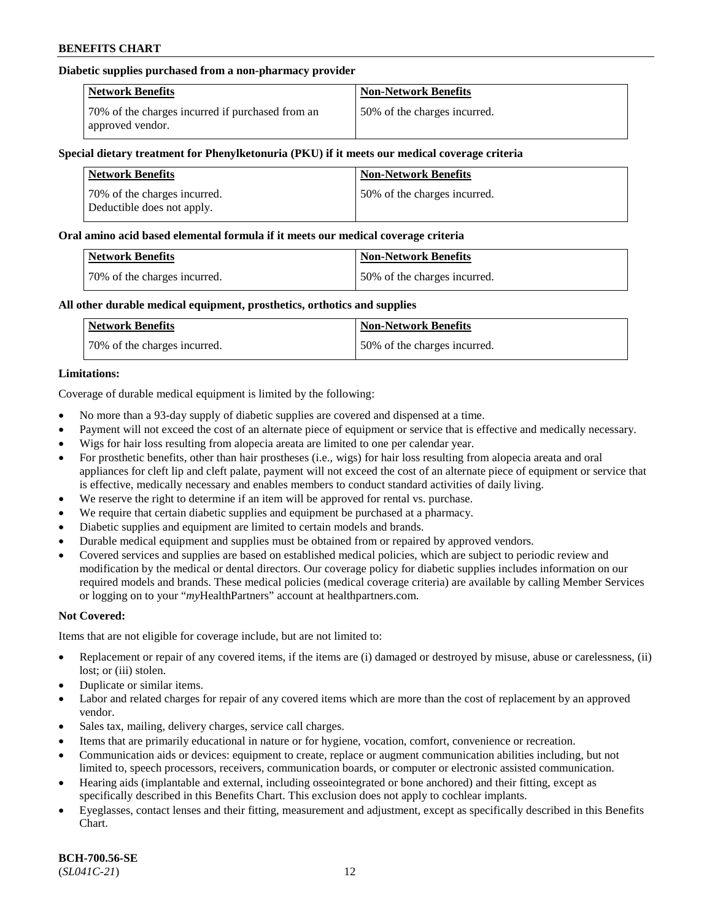### **Diabetic supplies purchased from a non-pharmacy provider**

| <b>Network Benefits</b>                                              | <b>Non-Network Benefits</b>  |
|----------------------------------------------------------------------|------------------------------|
| 70% of the charges incurred if purchased from an<br>approved vendor. | 50% of the charges incurred. |

#### **Special dietary treatment for Phenylketonuria (PKU) if it meets our medical coverage criteria**

| <b>Network Benefits</b>                                     | <b>Non-Network Benefits</b>  |
|-------------------------------------------------------------|------------------------------|
| 70\% of the charges incurred.<br>Deductible does not apply. | 50% of the charges incurred. |

#### **Oral amino acid based elemental formula if it meets our medical coverage criteria**

| <b>Network Benefits</b>      | <b>Non-Network Benefits</b>  |
|------------------------------|------------------------------|
| 70% of the charges incurred. | 50% of the charges incurred. |

### **All other durable medical equipment, prosthetics, orthotics and supplies**

| <b>Network Benefits</b>      | <b>Non-Network Benefits</b>  |
|------------------------------|------------------------------|
| 70% of the charges incurred. | 50% of the charges incurred. |

### **Limitations:**

Coverage of durable medical equipment is limited by the following:

- No more than a 93-day supply of diabetic supplies are covered and dispensed at a time.
- Payment will not exceed the cost of an alternate piece of equipment or service that is effective and medically necessary.
- Wigs for hair loss resulting from alopecia areata are limited to one per calendar year.
- For prosthetic benefits, other than hair prostheses (i.e., wigs) for hair loss resulting from alopecia areata and oral appliances for cleft lip and cleft palate, payment will not exceed the cost of an alternate piece of equipment or service that is effective, medically necessary and enables members to conduct standard activities of daily living.
- We reserve the right to determine if an item will be approved for rental vs. purchase.
- We require that certain diabetic supplies and equipment be purchased at a pharmacy.
- Diabetic supplies and equipment are limited to certain models and brands.
- Durable medical equipment and supplies must be obtained from or repaired by approved vendors.
- Covered services and supplies are based on established medical policies, which are subject to periodic review and modification by the medical or dental directors. Our coverage policy for diabetic supplies includes information on our required models and brands. These medical policies (medical coverage criteria) are available by calling Member Services or logging on to your "*my*HealthPartners" account a[t healthpartners.com.](https://www.healthpartners.com/hp/index.html)

### **Not Covered:**

Items that are not eligible for coverage include, but are not limited to:

- Replacement or repair of any covered items, if the items are (i) damaged or destroyed by misuse, abuse or carelessness, (ii) lost; or (iii) stolen.
- Duplicate or similar items.
- Labor and related charges for repair of any covered items which are more than the cost of replacement by an approved vendor.
- Sales tax, mailing, delivery charges, service call charges.
- Items that are primarily educational in nature or for hygiene, vocation, comfort, convenience or recreation.
- Communication aids or devices: equipment to create, replace or augment communication abilities including, but not limited to, speech processors, receivers, communication boards, or computer or electronic assisted communication.
- Hearing aids (implantable and external, including osseointegrated or bone anchored) and their fitting, except as specifically described in this Benefits Chart. This exclusion does not apply to cochlear implants.
- Eyeglasses, contact lenses and their fitting, measurement and adjustment, except as specifically described in this Benefits Chart.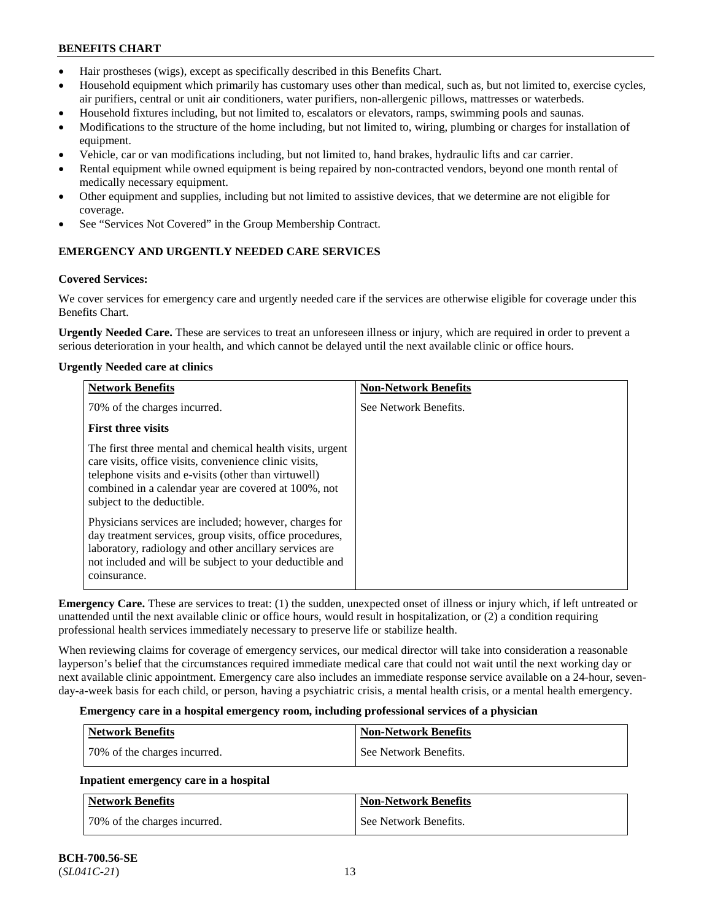- Hair prostheses (wigs), except as specifically described in this Benefits Chart.
- Household equipment which primarily has customary uses other than medical, such as, but not limited to, exercise cycles, air purifiers, central or unit air conditioners, water purifiers, non-allergenic pillows, mattresses or waterbeds.
- Household fixtures including, but not limited to, escalators or elevators, ramps, swimming pools and saunas.
- Modifications to the structure of the home including, but not limited to, wiring, plumbing or charges for installation of equipment.
- Vehicle, car or van modifications including, but not limited to, hand brakes, hydraulic lifts and car carrier.
- Rental equipment while owned equipment is being repaired by non-contracted vendors, beyond one month rental of medically necessary equipment.
- Other equipment and supplies, including but not limited to assistive devices, that we determine are not eligible for coverage.
- See "Services Not Covered" in the Group Membership Contract.

## **EMERGENCY AND URGENTLY NEEDED CARE SERVICES**

## **Covered Services:**

We cover services for emergency care and urgently needed care if the services are otherwise eligible for coverage under this Benefits Chart.

**Urgently Needed Care.** These are services to treat an unforeseen illness or injury, which are required in order to prevent a serious deterioration in your health, and which cannot be delayed until the next available clinic or office hours.

## **Urgently Needed care at clinics**

| <b>Network Benefits</b>                                                                                                                                                                                                                                           | <b>Non-Network Benefits</b> |
|-------------------------------------------------------------------------------------------------------------------------------------------------------------------------------------------------------------------------------------------------------------------|-----------------------------|
| 70% of the charges incurred.                                                                                                                                                                                                                                      | See Network Benefits.       |
| <b>First three visits</b>                                                                                                                                                                                                                                         |                             |
| The first three mental and chemical health visits, urgent<br>care visits, office visits, convenience clinic visits,<br>telephone visits and e-visits (other than virtuwell)<br>combined in a calendar year are covered at 100%, not<br>subject to the deductible. |                             |
| Physicians services are included; however, charges for<br>day treatment services, group visits, office procedures,<br>laboratory, radiology and other ancillary services are<br>not included and will be subject to your deductible and<br>coinsurance.           |                             |

**Emergency Care.** These are services to treat: (1) the sudden, unexpected onset of illness or injury which, if left untreated or unattended until the next available clinic or office hours, would result in hospitalization, or (2) a condition requiring professional health services immediately necessary to preserve life or stabilize health.

When reviewing claims for coverage of emergency services, our medical director will take into consideration a reasonable layperson's belief that the circumstances required immediate medical care that could not wait until the next working day or next available clinic appointment. Emergency care also includes an immediate response service available on a 24-hour, sevenday-a-week basis for each child, or person, having a psychiatric crisis, a mental health crisis, or a mental health emergency.

### **Emergency care in a hospital emergency room, including professional services of a physician**

| Network Benefits             | <b>Non-Network Benefits</b> |
|------------------------------|-----------------------------|
| 70% of the charges incurred. | See Network Benefits.       |

## **Inpatient emergency care in a hospital**

| Network Benefits             | <b>Non-Network Benefits</b> |
|------------------------------|-----------------------------|
| 70% of the charges incurred. | See Network Benefits.       |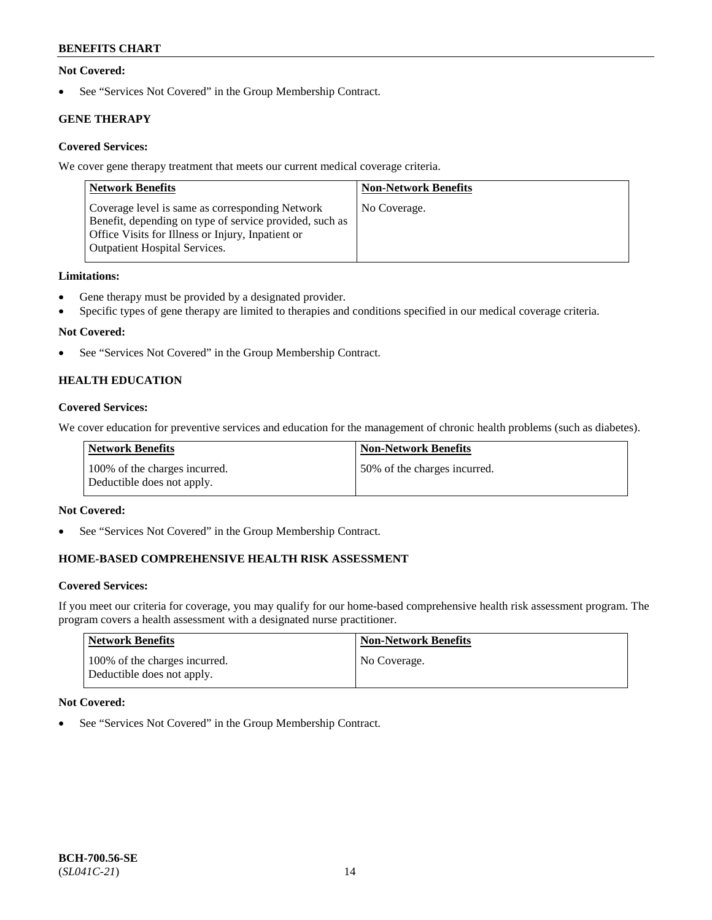### **Not Covered:**

• See "Services Not Covered" in the Group Membership Contract.

## **GENE THERAPY**

## **Covered Services:**

We cover gene therapy treatment that meets our current medical coverage criteria.

| <b>Network Benefits</b>                                                                                                                                                                                 | <b>Non-Network Benefits</b> |
|---------------------------------------------------------------------------------------------------------------------------------------------------------------------------------------------------------|-----------------------------|
| Coverage level is same as corresponding Network<br>Benefit, depending on type of service provided, such as<br>Office Visits for Illness or Injury, Inpatient or<br><b>Outpatient Hospital Services.</b> | No Coverage.                |

### **Limitations:**

- Gene therapy must be provided by a designated provider.
- Specific types of gene therapy are limited to therapies and conditions specified in our medical coverage criteria.

## **Not Covered:**

• See "Services Not Covered" in the Group Membership Contract.

## **HEALTH EDUCATION**

### **Covered Services:**

We cover education for preventive services and education for the management of chronic health problems (such as diabetes).

| Network Benefits                                            | <b>Non-Network Benefits</b>  |
|-------------------------------------------------------------|------------------------------|
| 100% of the charges incurred.<br>Deductible does not apply. | 50% of the charges incurred. |

### **Not Covered:**

• See "Services Not Covered" in the Group Membership Contract.

## **HOME-BASED COMPREHENSIVE HEALTH RISK ASSESSMENT**

### **Covered Services:**

If you meet our criteria for coverage, you may qualify for our home-based comprehensive health risk assessment program. The program covers a health assessment with a designated nurse practitioner.

| Network Benefits                                            | <b>Non-Network Benefits</b> |
|-------------------------------------------------------------|-----------------------------|
| 100% of the charges incurred.<br>Deductible does not apply. | No Coverage.                |

### **Not Covered:**

See "Services Not Covered" in the Group Membership Contract.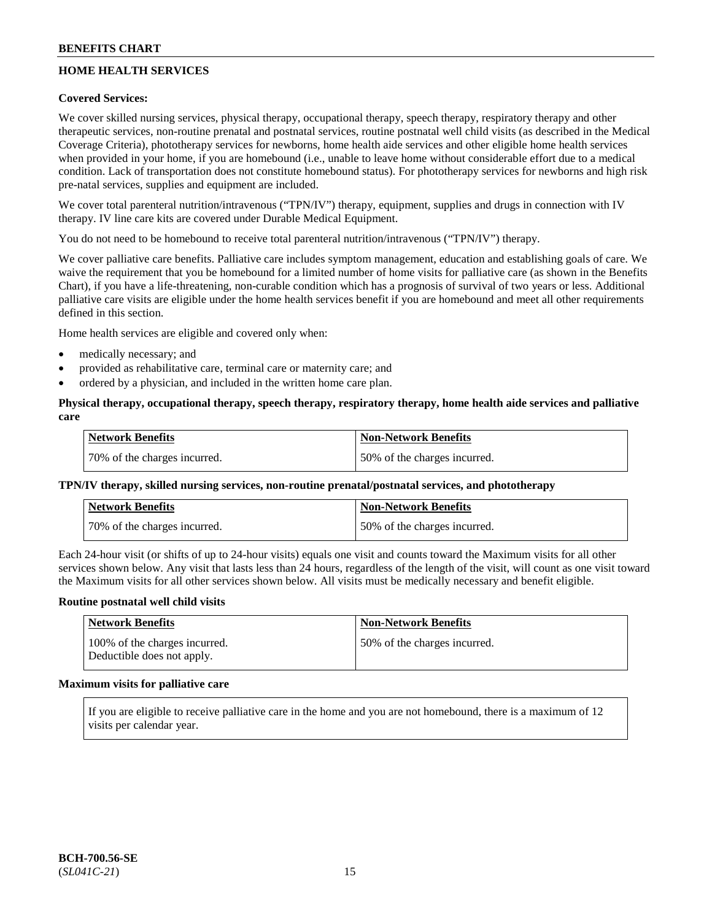## **HOME HEALTH SERVICES**

### **Covered Services:**

We cover skilled nursing services, physical therapy, occupational therapy, speech therapy, respiratory therapy and other therapeutic services, non-routine prenatal and postnatal services, routine postnatal well child visits (as described in the Medical Coverage Criteria), phototherapy services for newborns, home health aide services and other eligible home health services when provided in your home, if you are homebound (i.e., unable to leave home without considerable effort due to a medical condition. Lack of transportation does not constitute homebound status). For phototherapy services for newborns and high risk pre-natal services, supplies and equipment are included.

We cover total parenteral nutrition/intravenous ("TPN/IV") therapy, equipment, supplies and drugs in connection with IV therapy. IV line care kits are covered under Durable Medical Equipment.

You do not need to be homebound to receive total parenteral nutrition/intravenous ("TPN/IV") therapy.

We cover palliative care benefits. Palliative care includes symptom management, education and establishing goals of care. We waive the requirement that you be homebound for a limited number of home visits for palliative care (as shown in the Benefits Chart), if you have a life-threatening, non-curable condition which has a prognosis of survival of two years or less. Additional palliative care visits are eligible under the home health services benefit if you are homebound and meet all other requirements defined in this section.

Home health services are eligible and covered only when:

- medically necessary; and
- provided as rehabilitative care, terminal care or maternity care; and
- ordered by a physician, and included in the written home care plan.

### **Physical therapy, occupational therapy, speech therapy, respiratory therapy, home health aide services and palliative care**

| <b>Network Benefits</b>      | <b>Non-Network Benefits</b>  |
|------------------------------|------------------------------|
| 70% of the charges incurred. | 50% of the charges incurred. |

### **TPN/IV therapy, skilled nursing services, non-routine prenatal/postnatal services, and phototherapy**

| <b>Network Benefits</b>       | <b>Non-Network Benefits</b>  |
|-------------------------------|------------------------------|
| 170% of the charges incurred. | 50% of the charges incurred. |

Each 24-hour visit (or shifts of up to 24-hour visits) equals one visit and counts toward the Maximum visits for all other services shown below. Any visit that lasts less than 24 hours, regardless of the length of the visit, will count as one visit toward the Maximum visits for all other services shown below. All visits must be medically necessary and benefit eligible.

#### **Routine postnatal well child visits**

| Network Benefits                                            | <b>Non-Network Benefits</b>  |
|-------------------------------------------------------------|------------------------------|
| 100% of the charges incurred.<br>Deductible does not apply. | 50% of the charges incurred. |

## **Maximum visits for palliative care**

If you are eligible to receive palliative care in the home and you are not homebound, there is a maximum of 12 visits per calendar year.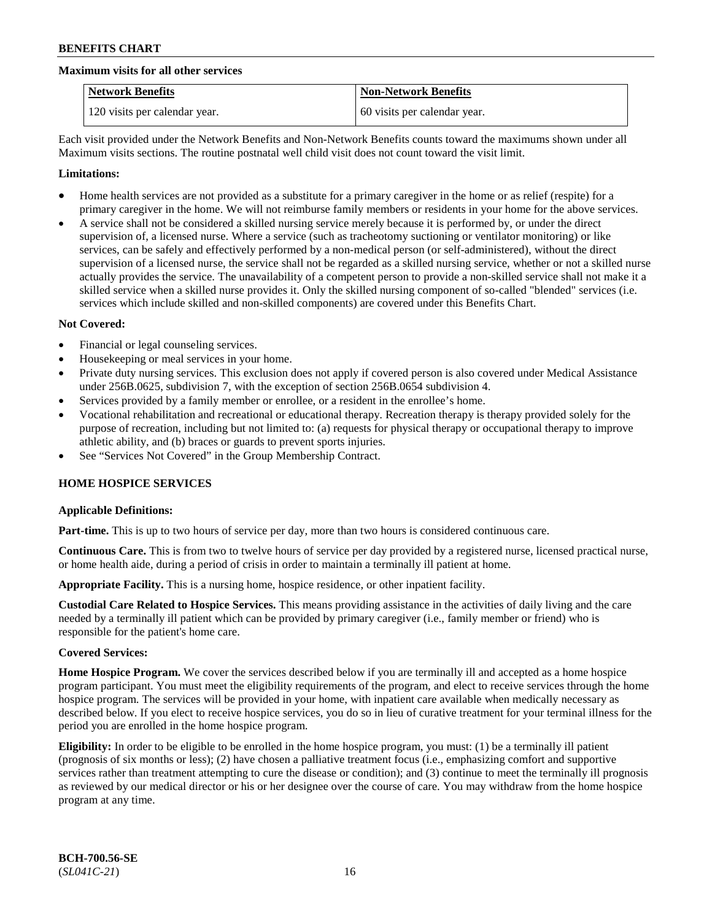#### **Maximum visits for all other services**

| <b>Network Benefits</b>       | <b>Non-Network Benefits</b>  |
|-------------------------------|------------------------------|
| 120 visits per calendar year. | 60 visits per calendar year. |

Each visit provided under the Network Benefits and Non-Network Benefits counts toward the maximums shown under all Maximum visits sections. The routine postnatal well child visit does not count toward the visit limit.

#### **Limitations:**

- Home health services are not provided as a substitute for a primary caregiver in the home or as relief (respite) for a primary caregiver in the home. We will not reimburse family members or residents in your home for the above services.
- A service shall not be considered a skilled nursing service merely because it is performed by, or under the direct supervision of, a licensed nurse. Where a service (such as tracheotomy suctioning or ventilator monitoring) or like services, can be safely and effectively performed by a non-medical person (or self-administered), without the direct supervision of a licensed nurse, the service shall not be regarded as a skilled nursing service, whether or not a skilled nurse actually provides the service. The unavailability of a competent person to provide a non-skilled service shall not make it a skilled service when a skilled nurse provides it. Only the skilled nursing component of so-called "blended" services (i.e. services which include skilled and non-skilled components) are covered under this Benefits Chart.

#### **Not Covered:**

- Financial or legal counseling services.
- Housekeeping or meal services in your home.
- Private duty nursing services. This exclusion does not apply if covered person is also covered under Medical Assistance under 256B.0625, subdivision 7, with the exception of section 256B.0654 subdivision 4.
- Services provided by a family member or enrollee, or a resident in the enrollee's home.
- Vocational rehabilitation and recreational or educational therapy. Recreation therapy is therapy provided solely for the purpose of recreation, including but not limited to: (a) requests for physical therapy or occupational therapy to improve athletic ability, and (b) braces or guards to prevent sports injuries.
- See "Services Not Covered" in the Group Membership Contract.

### **HOME HOSPICE SERVICES**

### **Applicable Definitions:**

**Part-time.** This is up to two hours of service per day, more than two hours is considered continuous care.

**Continuous Care.** This is from two to twelve hours of service per day provided by a registered nurse, licensed practical nurse, or home health aide, during a period of crisis in order to maintain a terminally ill patient at home.

**Appropriate Facility.** This is a nursing home, hospice residence, or other inpatient facility.

**Custodial Care Related to Hospice Services.** This means providing assistance in the activities of daily living and the care needed by a terminally ill patient which can be provided by primary caregiver (i.e., family member or friend) who is responsible for the patient's home care.

#### **Covered Services:**

**Home Hospice Program.** We cover the services described below if you are terminally ill and accepted as a home hospice program participant. You must meet the eligibility requirements of the program, and elect to receive services through the home hospice program. The services will be provided in your home, with inpatient care available when medically necessary as described below. If you elect to receive hospice services, you do so in lieu of curative treatment for your terminal illness for the period you are enrolled in the home hospice program.

**Eligibility:** In order to be eligible to be enrolled in the home hospice program, you must: (1) be a terminally ill patient (prognosis of six months or less); (2) have chosen a palliative treatment focus (i.e., emphasizing comfort and supportive services rather than treatment attempting to cure the disease or condition); and (3) continue to meet the terminally ill prognosis as reviewed by our medical director or his or her designee over the course of care. You may withdraw from the home hospice program at any time.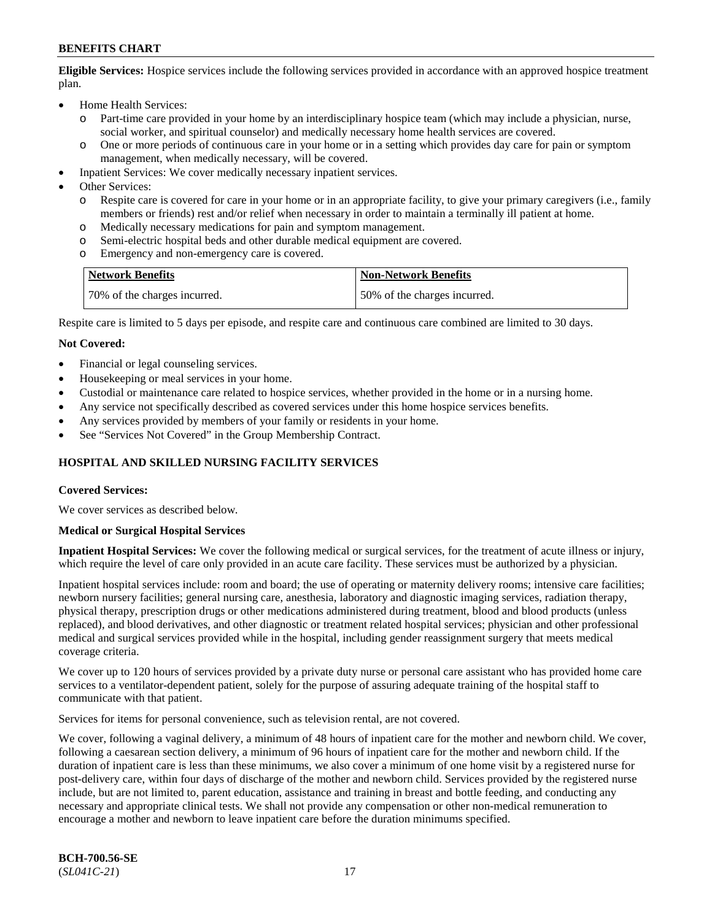**Eligible Services:** Hospice services include the following services provided in accordance with an approved hospice treatment plan.

- Home Health Services:
	- o Part-time care provided in your home by an interdisciplinary hospice team (which may include a physician, nurse, social worker, and spiritual counselor) and medically necessary home health services are covered.
	- o One or more periods of continuous care in your home or in a setting which provides day care for pain or symptom management, when medically necessary, will be covered.
- Inpatient Services: We cover medically necessary inpatient services.
- Other Services:
	- o Respite care is covered for care in your home or in an appropriate facility, to give your primary caregivers (i.e., family members or friends) rest and/or relief when necessary in order to maintain a terminally ill patient at home.
	- o Medically necessary medications for pain and symptom management.
	- Semi-electric hospital beds and other durable medical equipment are covered.
	- o Emergency and non-emergency care is covered.

| <b>Network Benefits</b>      | Non-Network Benefits         |
|------------------------------|------------------------------|
| 70% of the charges incurred. | 50% of the charges incurred. |

Respite care is limited to 5 days per episode, and respite care and continuous care combined are limited to 30 days.

#### **Not Covered:**

- Financial or legal counseling services.
- Housekeeping or meal services in your home.
- Custodial or maintenance care related to hospice services, whether provided in the home or in a nursing home.
- Any service not specifically described as covered services under this home hospice services benefits.
- Any services provided by members of your family or residents in your home.
- See "Services Not Covered" in the Group Membership Contract.

### **HOSPITAL AND SKILLED NURSING FACILITY SERVICES**

#### **Covered Services:**

We cover services as described below.

#### **Medical or Surgical Hospital Services**

**Inpatient Hospital Services:** We cover the following medical or surgical services, for the treatment of acute illness or injury, which require the level of care only provided in an acute care facility. These services must be authorized by a physician.

Inpatient hospital services include: room and board; the use of operating or maternity delivery rooms; intensive care facilities; newborn nursery facilities; general nursing care, anesthesia, laboratory and diagnostic imaging services, radiation therapy, physical therapy, prescription drugs or other medications administered during treatment, blood and blood products (unless replaced), and blood derivatives, and other diagnostic or treatment related hospital services; physician and other professional medical and surgical services provided while in the hospital, including gender reassignment surgery that meets medical coverage criteria.

We cover up to 120 hours of services provided by a private duty nurse or personal care assistant who has provided home care services to a ventilator-dependent patient, solely for the purpose of assuring adequate training of the hospital staff to communicate with that patient.

Services for items for personal convenience, such as television rental, are not covered.

We cover, following a vaginal delivery, a minimum of 48 hours of inpatient care for the mother and newborn child. We cover, following a caesarean section delivery, a minimum of 96 hours of inpatient care for the mother and newborn child. If the duration of inpatient care is less than these minimums, we also cover a minimum of one home visit by a registered nurse for post-delivery care, within four days of discharge of the mother and newborn child. Services provided by the registered nurse include, but are not limited to, parent education, assistance and training in breast and bottle feeding, and conducting any necessary and appropriate clinical tests. We shall not provide any compensation or other non-medical remuneration to encourage a mother and newborn to leave inpatient care before the duration minimums specified.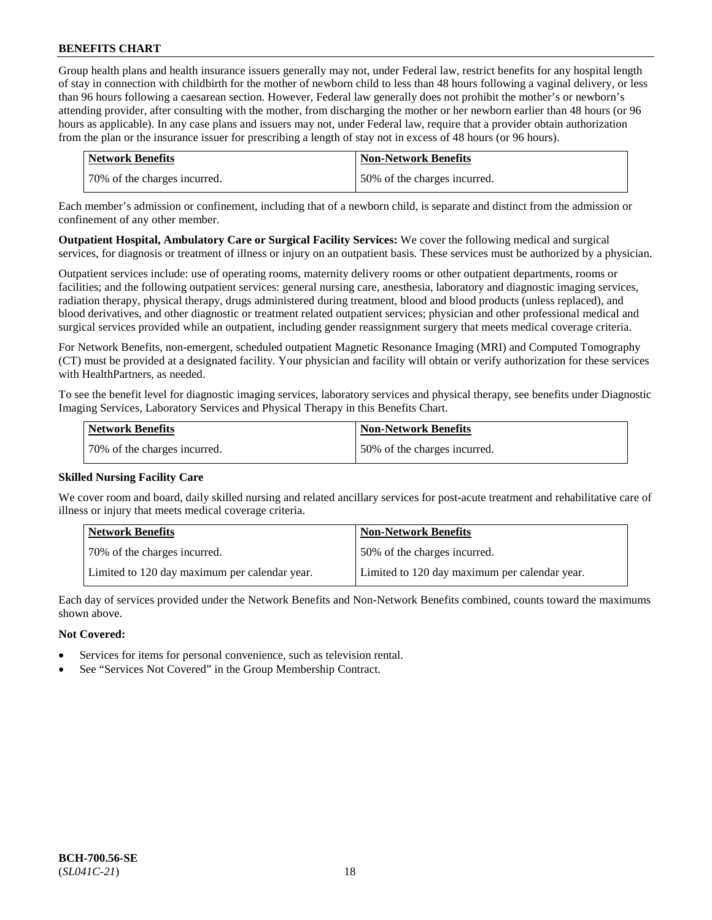Group health plans and health insurance issuers generally may not, under Federal law, restrict benefits for any hospital length of stay in connection with childbirth for the mother of newborn child to less than 48 hours following a vaginal delivery, or less than 96 hours following a caesarean section. However, Federal law generally does not prohibit the mother's or newborn's attending provider, after consulting with the mother, from discharging the mother or her newborn earlier than 48 hours (or 96 hours as applicable). In any case plans and issuers may not, under Federal law, require that a provider obtain authorization from the plan or the insurance issuer for prescribing a length of stay not in excess of 48 hours (or 96 hours).

| Network Benefits             | <b>Non-Network Benefits</b>  |
|------------------------------|------------------------------|
| 70% of the charges incurred. | 50% of the charges incurred. |

Each member's admission or confinement, including that of a newborn child, is separate and distinct from the admission or confinement of any other member.

**Outpatient Hospital, Ambulatory Care or Surgical Facility Services:** We cover the following medical and surgical services, for diagnosis or treatment of illness or injury on an outpatient basis. These services must be authorized by a physician.

Outpatient services include: use of operating rooms, maternity delivery rooms or other outpatient departments, rooms or facilities; and the following outpatient services: general nursing care, anesthesia, laboratory and diagnostic imaging services, radiation therapy, physical therapy, drugs administered during treatment, blood and blood products (unless replaced), and blood derivatives, and other diagnostic or treatment related outpatient services; physician and other professional medical and surgical services provided while an outpatient, including gender reassignment surgery that meets medical coverage criteria.

For Network Benefits, non-emergent, scheduled outpatient Magnetic Resonance Imaging (MRI) and Computed Tomography (CT) must be provided at a designated facility. Your physician and facility will obtain or verify authorization for these services with HealthPartners, as needed.

To see the benefit level for diagnostic imaging services, laboratory services and physical therapy, see benefits under Diagnostic Imaging Services, Laboratory Services and Physical Therapy in this Benefits Chart.

| Network Benefits             | Non-Network Benefits         |
|------------------------------|------------------------------|
| 70% of the charges incurred. | 50% of the charges incurred. |

### **Skilled Nursing Facility Care**

We cover room and board, daily skilled nursing and related ancillary services for post-acute treatment and rehabilitative care of illness or injury that meets medical coverage criteria.

| <b>Network Benefits</b>                       | <b>Non-Network Benefits</b>                   |
|-----------------------------------------------|-----------------------------------------------|
| 70% of the charges incurred.                  | 50% of the charges incurred.                  |
| Limited to 120 day maximum per calendar year. | Limited to 120 day maximum per calendar year. |

Each day of services provided under the Network Benefits and Non-Network Benefits combined, counts toward the maximums shown above.

#### **Not Covered:**

- Services for items for personal convenience, such as television rental.
- See "Services Not Covered" in the Group Membership Contract.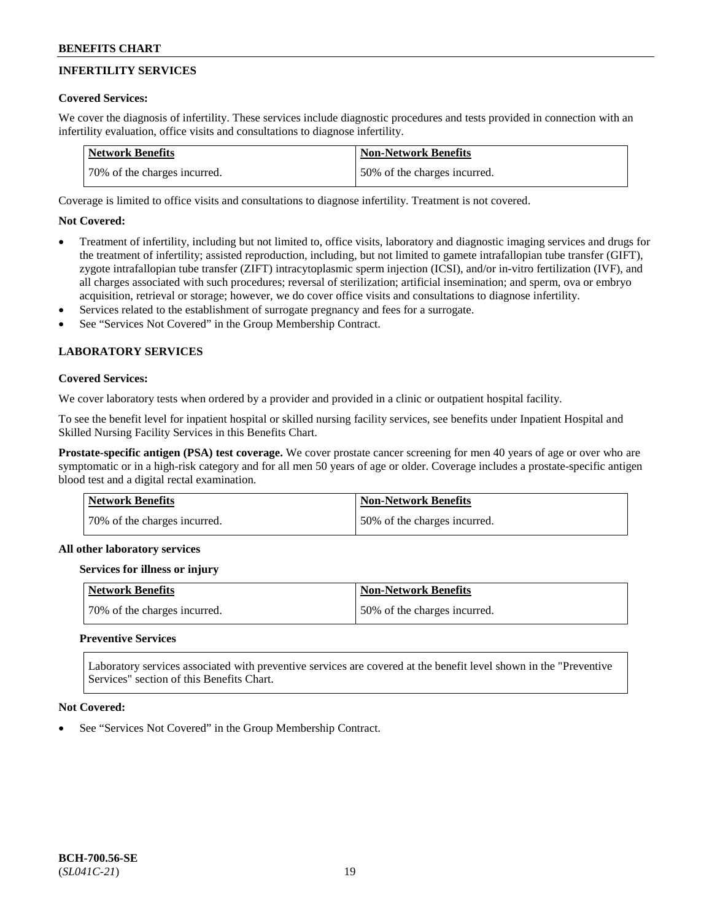## **INFERTILITY SERVICES**

### **Covered Services:**

We cover the diagnosis of infertility. These services include diagnostic procedures and tests provided in connection with an infertility evaluation, office visits and consultations to diagnose infertility.

| <b>Network Benefits</b>      | <b>Non-Network Benefits</b>  |
|------------------------------|------------------------------|
| 70% of the charges incurred. | 50% of the charges incurred. |

Coverage is limited to office visits and consultations to diagnose infertility. Treatment is not covered.

## **Not Covered:**

- Treatment of infertility, including but not limited to, office visits, laboratory and diagnostic imaging services and drugs for the treatment of infertility; assisted reproduction, including, but not limited to gamete intrafallopian tube transfer (GIFT), zygote intrafallopian tube transfer (ZIFT) intracytoplasmic sperm injection (ICSI), and/or in-vitro fertilization (IVF), and all charges associated with such procedures; reversal of sterilization; artificial insemination; and sperm, ova or embryo acquisition, retrieval or storage; however, we do cover office visits and consultations to diagnose infertility.
- Services related to the establishment of surrogate pregnancy and fees for a surrogate.
- See "Services Not Covered" in the Group Membership Contract.

## **LABORATORY SERVICES**

#### **Covered Services:**

We cover laboratory tests when ordered by a provider and provided in a clinic or outpatient hospital facility.

To see the benefit level for inpatient hospital or skilled nursing facility services, see benefits under Inpatient Hospital and Skilled Nursing Facility Services in this Benefits Chart.

**Prostate-specific antigen (PSA) test coverage.** We cover prostate cancer screening for men 40 years of age or over who are symptomatic or in a high-risk category and for all men 50 years of age or older. Coverage includes a prostate-specific antigen blood test and a digital rectal examination.

| <b>Network Benefits</b>      | <b>Non-Network Benefits</b>  |
|------------------------------|------------------------------|
| 70% of the charges incurred. | 50% of the charges incurred. |

#### **All other laboratory services**

#### **Services for illness or injury**

| Network Benefits             | <b>Non-Network Benefits</b>  |
|------------------------------|------------------------------|
| 70% of the charges incurred. | 50% of the charges incurred. |

### **Preventive Services**

Laboratory services associated with preventive services are covered at the benefit level shown in the "Preventive Services" section of this Benefits Chart.

#### **Not Covered:**

See "Services Not Covered" in the Group Membership Contract.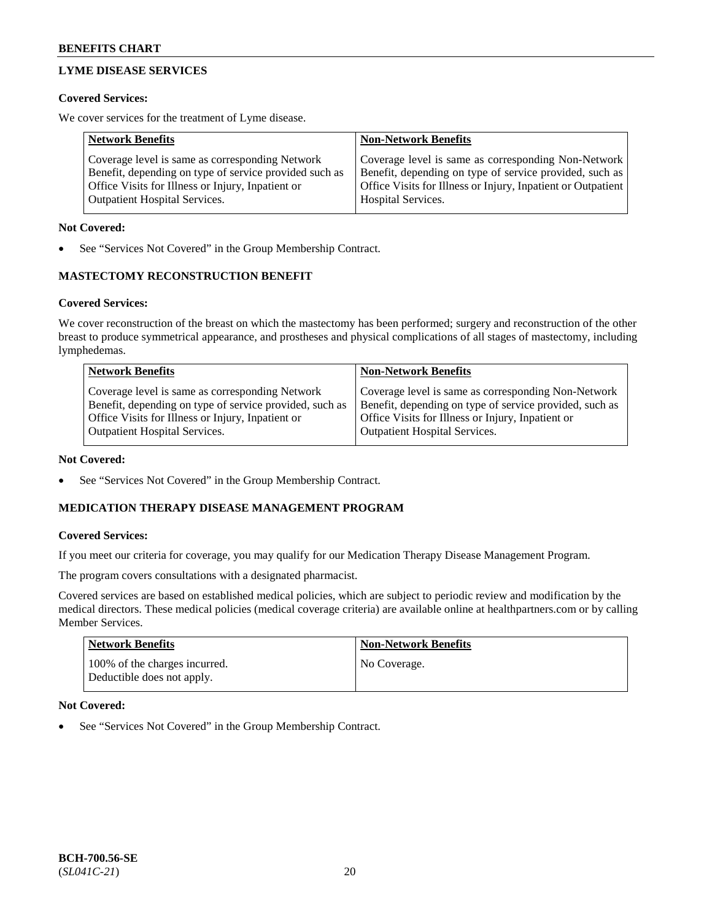## **LYME DISEASE SERVICES**

### **Covered Services:**

We cover services for the treatment of Lyme disease.

| <b>Network Benefits</b>                                | <b>Non-Network Benefits</b>                                  |
|--------------------------------------------------------|--------------------------------------------------------------|
| Coverage level is same as corresponding Network        | Coverage level is same as corresponding Non-Network          |
| Benefit, depending on type of service provided such as | Benefit, depending on type of service provided, such as      |
| Office Visits for Illness or Injury, Inpatient or      | Office Visits for Illness or Injury, Inpatient or Outpatient |
| <b>Outpatient Hospital Services.</b>                   | Hospital Services.                                           |

### **Not Covered:**

See "Services Not Covered" in the Group Membership Contract.

## **MASTECTOMY RECONSTRUCTION BENEFIT**

## **Covered Services:**

We cover reconstruction of the breast on which the mastectomy has been performed; surgery and reconstruction of the other breast to produce symmetrical appearance, and prostheses and physical complications of all stages of mastectomy, including lymphedemas.

| <b>Network Benefits</b>                                 | <b>Non-Network Benefits</b>                             |
|---------------------------------------------------------|---------------------------------------------------------|
| Coverage level is same as corresponding Network         | Coverage level is same as corresponding Non-Network     |
| Benefit, depending on type of service provided, such as | Benefit, depending on type of service provided, such as |
| Office Visits for Illness or Injury, Inpatient or       | Office Visits for Illness or Injury, Inpatient or       |
| <b>Outpatient Hospital Services.</b>                    | Outpatient Hospital Services.                           |

### **Not Covered:**

See "Services Not Covered" in the Group Membership Contract.

## **MEDICATION THERAPY DISEASE MANAGEMENT PROGRAM**

### **Covered Services:**

If you meet our criteria for coverage, you may qualify for our Medication Therapy Disease Management Program.

The program covers consultations with a designated pharmacist.

Covered services are based on established medical policies, which are subject to periodic review and modification by the medical directors. These medical policies (medical coverage criteria) are available online at [healthpartners.com](https://www.healthpartners.com/hp/index.html) or by calling Member Services.

| <b>Network Benefits</b>                                     | Non-Network Benefits |
|-------------------------------------------------------------|----------------------|
| 100% of the charges incurred.<br>Deductible does not apply. | No Coverage.         |

### **Not Covered:**

See "Services Not Covered" in the Group Membership Contract.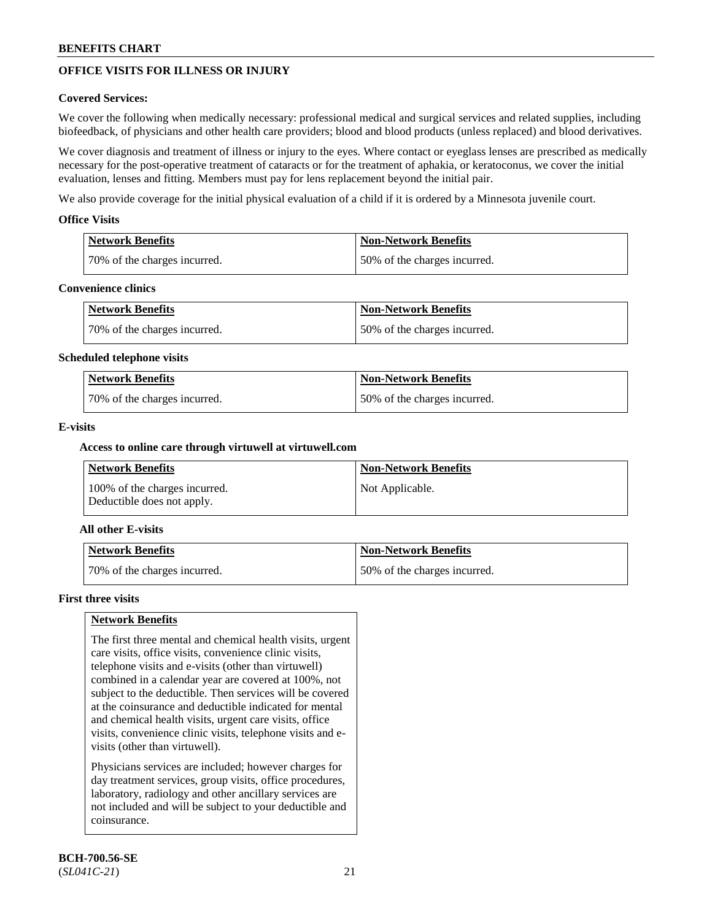## **OFFICE VISITS FOR ILLNESS OR INJURY**

### **Covered Services:**

We cover the following when medically necessary: professional medical and surgical services and related supplies, including biofeedback, of physicians and other health care providers; blood and blood products (unless replaced) and blood derivatives.

We cover diagnosis and treatment of illness or injury to the eyes. Where contact or eyeglass lenses are prescribed as medically necessary for the post-operative treatment of cataracts or for the treatment of aphakia, or keratoconus, we cover the initial evaluation, lenses and fitting. Members must pay for lens replacement beyond the initial pair.

We also provide coverage for the initial physical evaluation of a child if it is ordered by a Minnesota juvenile court.

### **Office Visits**

| <b>Network Benefits</b>      | <b>Non-Network Benefits</b>  |
|------------------------------|------------------------------|
| 70% of the charges incurred. | 50% of the charges incurred. |

#### **Convenience clinics**

| Network Benefits             | Non-Network Benefits         |
|------------------------------|------------------------------|
| 70% of the charges incurred. | 50% of the charges incurred. |

#### **Scheduled telephone visits**

| <b>Network Benefits</b>      | Non-Network Benefits         |
|------------------------------|------------------------------|
| 70% of the charges incurred. | 50% of the charges incurred. |

### **E-visits**

### **Access to online care through virtuwell at [virtuwell.com](https://www.virtuwell.com/)**

| Network Benefits                                            | <b>Non-Network Benefits</b> |
|-------------------------------------------------------------|-----------------------------|
| 100% of the charges incurred.<br>Deductible does not apply. | Not Applicable.             |

### **All other E-visits**

| Network Benefits             | <b>Non-Network Benefits</b>  |
|------------------------------|------------------------------|
| 70% of the charges incurred. | 50% of the charges incurred. |

#### **First three visits**

### **Network Benefits**

The first three mental and chemical health visits, urgent care visits, office visits, convenience clinic visits, telephone visits and e-visits (other than virtuwell) combined in a calendar year are covered at 100%, not subject to the deductible. Then services will be covered at the coinsurance and deductible indicated for mental and chemical health visits, urgent care visits, office visits, convenience clinic visits, telephone visits and evisits (other than virtuwell).

Physicians services are included; however charges for day treatment services, group visits, office procedures, laboratory, radiology and other ancillary services are not included and will be subject to your deductible and coinsurance.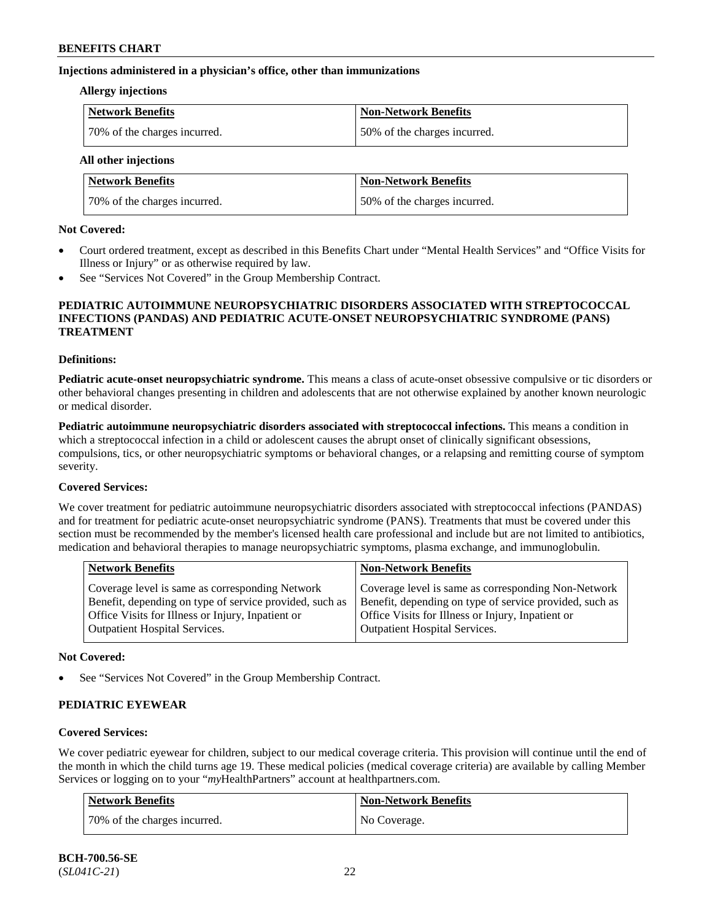#### **Injections administered in a physician's office, other than immunizations**

#### **Allergy injections**

| Network Benefits             | <b>Non-Network Benefits</b>  |
|------------------------------|------------------------------|
| 70% of the charges incurred. | 50% of the charges incurred. |

**All other injections**

| <b>Network Benefits</b>      | <b>Non-Network Benefits</b>  |
|------------------------------|------------------------------|
| 70% of the charges incurred. | 50% of the charges incurred. |

#### **Not Covered:**

- Court ordered treatment, except as described in this Benefits Chart under "Mental Health Services" and "Office Visits for Illness or Injury" or as otherwise required by law.
- See "Services Not Covered" in the Group Membership Contract.

#### **PEDIATRIC AUTOIMMUNE NEUROPSYCHIATRIC DISORDERS ASSOCIATED WITH STREPTOCOCCAL INFECTIONS (PANDAS) AND PEDIATRIC ACUTE-ONSET NEUROPSYCHIATRIC SYNDROME (PANS) TREATMENT**

#### **Definitions:**

**Pediatric acute-onset neuropsychiatric syndrome.** This means a class of acute-onset obsessive compulsive or tic disorders or other behavioral changes presenting in children and adolescents that are not otherwise explained by another known neurologic or medical disorder.

**Pediatric autoimmune neuropsychiatric disorders associated with streptococcal infections.** This means a condition in which a streptococcal infection in a child or adolescent causes the abrupt onset of clinically significant obsessions, compulsions, tics, or other neuropsychiatric symptoms or behavioral changes, or a relapsing and remitting course of symptom severity.

### **Covered Services:**

We cover treatment for pediatric autoimmune neuropsychiatric disorders associated with streptococcal infections (PANDAS) and for treatment for pediatric acute-onset neuropsychiatric syndrome (PANS). Treatments that must be covered under this section must be recommended by the member's licensed health care professional and include but are not limited to antibiotics, medication and behavioral therapies to manage neuropsychiatric symptoms, plasma exchange, and immunoglobulin.

|                                                                                                                                                                                                                                                                                                              | <b>Network Benefits</b><br><b>Non-Network Benefits</b>                                                 |  |
|--------------------------------------------------------------------------------------------------------------------------------------------------------------------------------------------------------------------------------------------------------------------------------------------------------------|--------------------------------------------------------------------------------------------------------|--|
| Benefit, depending on type of service provided, such as<br>Benefit, depending on type of service provided, such as<br>Office Visits for Illness or Injury, Inpatient or<br>Office Visits for Illness or Injury, Inpatient or<br><b>Outpatient Hospital Services.</b><br><b>Outpatient Hospital Services.</b> | Coverage level is same as corresponding Non-Network<br>Coverage level is same as corresponding Network |  |

#### **Not Covered:**

See "Services Not Covered" in the Group Membership Contract.

### **PEDIATRIC EYEWEAR**

### **Covered Services:**

We cover pediatric eyewear for children, subject to our medical coverage criteria. This provision will continue until the end of the month in which the child turns age 19. These medical policies (medical coverage criteria) are available by calling Member Services or logging on to your "*my*HealthPartners" account at [healthpartners.com.](https://www.healthpartners.com/hp/index.html)

| Network Benefits             | <b>Non-Network Benefits</b> |
|------------------------------|-----------------------------|
| 70% of the charges incurred. | No Coverage.                |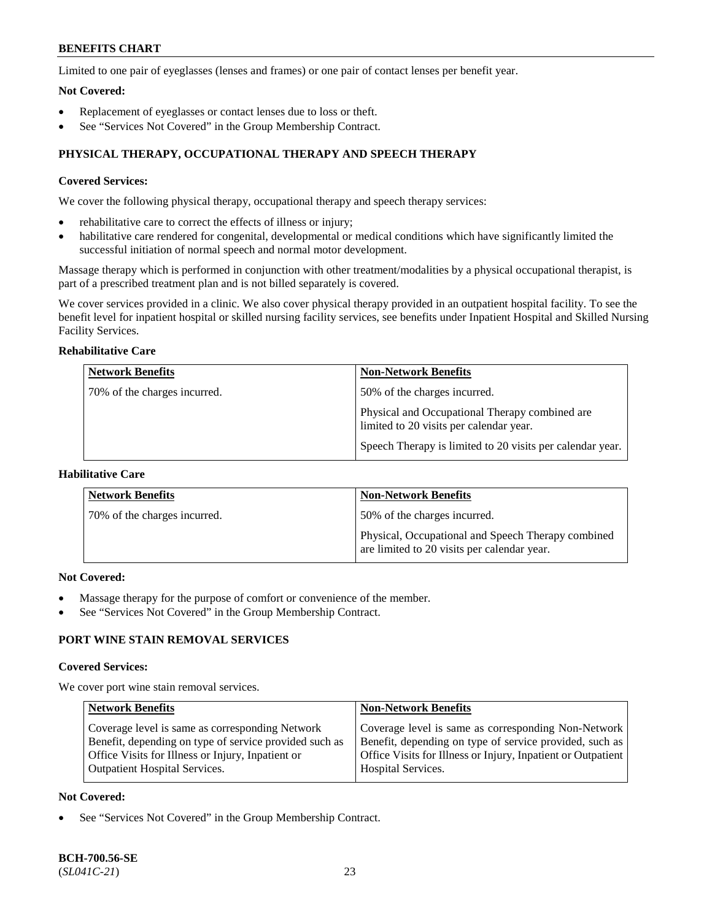Limited to one pair of eyeglasses (lenses and frames) or one pair of contact lenses per benefit year.

#### **Not Covered:**

- Replacement of eyeglasses or contact lenses due to loss or theft.
- See "Services Not Covered" in the Group Membership Contract.

## **PHYSICAL THERAPY, OCCUPATIONAL THERAPY AND SPEECH THERAPY**

### **Covered Services:**

We cover the following physical therapy, occupational therapy and speech therapy services:

- rehabilitative care to correct the effects of illness or injury;
- habilitative care rendered for congenital, developmental or medical conditions which have significantly limited the successful initiation of normal speech and normal motor development.

Massage therapy which is performed in conjunction with other treatment/modalities by a physical occupational therapist, is part of a prescribed treatment plan and is not billed separately is covered.

We cover services provided in a clinic. We also cover physical therapy provided in an outpatient hospital facility. To see the benefit level for inpatient hospital or skilled nursing facility services, see benefits under Inpatient Hospital and Skilled Nursing Facility Services.

## **Rehabilitative Care**

| <b>Network Benefits</b>      | <b>Non-Network Benefits</b>                                                               |
|------------------------------|-------------------------------------------------------------------------------------------|
| 70% of the charges incurred. | 50% of the charges incurred.                                                              |
|                              | Physical and Occupational Therapy combined are<br>limited to 20 visits per calendar year. |
|                              | Speech Therapy is limited to 20 visits per calendar year.                                 |

## **Habilitative Care**

| <b>Network Benefits</b>      | <b>Non-Network Benefits</b>                                                                       |
|------------------------------|---------------------------------------------------------------------------------------------------|
| 70% of the charges incurred. | 50% of the charges incurred.                                                                      |
|                              | Physical, Occupational and Speech Therapy combined<br>are limited to 20 visits per calendar year. |

#### **Not Covered:**

- Massage therapy for the purpose of comfort or convenience of the member.
- See "Services Not Covered" in the Group Membership Contract.

## **PORT WINE STAIN REMOVAL SERVICES**

#### **Covered Services:**

We cover port wine stain removal services.

| <b>Network Benefits</b>                                | <b>Non-Network Benefits</b>                                  |
|--------------------------------------------------------|--------------------------------------------------------------|
| Coverage level is same as corresponding Network        | Coverage level is same as corresponding Non-Network          |
| Benefit, depending on type of service provided such as | Benefit, depending on type of service provided, such as      |
| Office Visits for Illness or Injury, Inpatient or      | Office Visits for Illness or Injury, Inpatient or Outpatient |
| <b>Outpatient Hospital Services.</b>                   | Hospital Services.                                           |

#### **Not Covered:**

See "Services Not Covered" in the Group Membership Contract.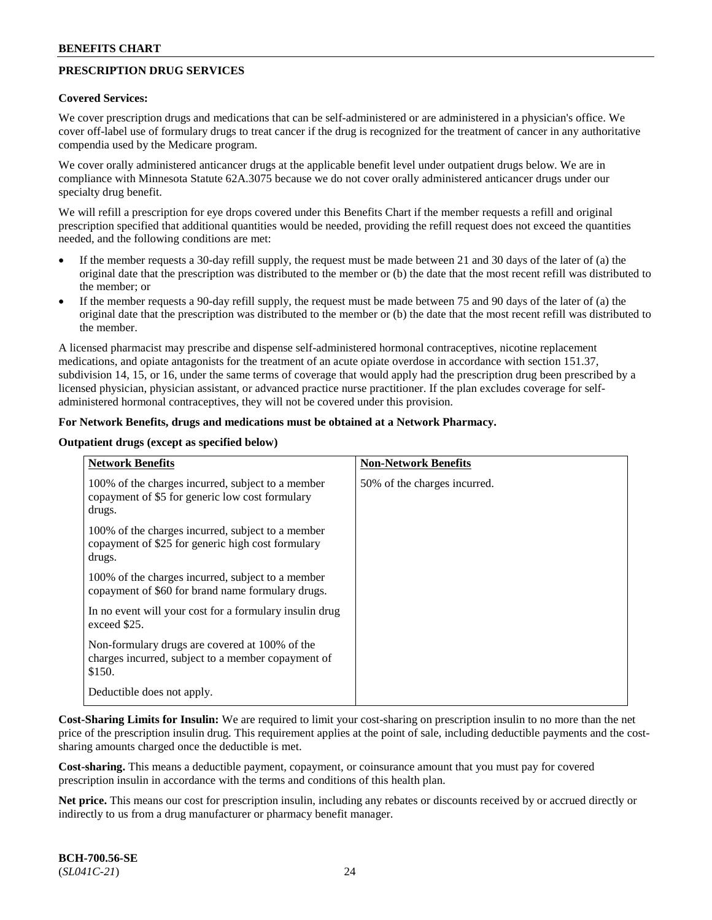## **PRESCRIPTION DRUG SERVICES**

#### **Covered Services:**

We cover prescription drugs and medications that can be self-administered or are administered in a physician's office. We cover off-label use of formulary drugs to treat cancer if the drug is recognized for the treatment of cancer in any authoritative compendia used by the Medicare program.

We cover orally administered anticancer drugs at the applicable benefit level under outpatient drugs below. We are in compliance with Minnesota Statute 62A.3075 because we do not cover orally administered anticancer drugs under our specialty drug benefit.

We will refill a prescription for eye drops covered under this Benefits Chart if the member requests a refill and original prescription specified that additional quantities would be needed, providing the refill request does not exceed the quantities needed, and the following conditions are met:

- If the member requests a 30-day refill supply, the request must be made between 21 and 30 days of the later of (a) the original date that the prescription was distributed to the member or (b) the date that the most recent refill was distributed to the member; or
- If the member requests a 90-day refill supply, the request must be made between 75 and 90 days of the later of (a) the original date that the prescription was distributed to the member or (b) the date that the most recent refill was distributed to the member.

A licensed pharmacist may prescribe and dispense self-administered hormonal contraceptives, nicotine replacement medications, and opiate antagonists for the treatment of an acute opiate overdose in accordance with section 151.37, subdivision 14, 15, or 16, under the same terms of coverage that would apply had the prescription drug been prescribed by a licensed physician, physician assistant, or advanced practice nurse practitioner. If the plan excludes coverage for selfadministered hormonal contraceptives, they will not be covered under this provision.

#### **For Network Benefits, drugs and medications must be obtained at a Network Pharmacy.**

#### **Outpatient drugs (except as specified below)**

| <b>Network Benefits</b>                                                                                          | <b>Non-Network Benefits</b>  |
|------------------------------------------------------------------------------------------------------------------|------------------------------|
| 100% of the charges incurred, subject to a member<br>copayment of \$5 for generic low cost formulary<br>drugs.   | 50% of the charges incurred. |
| 100% of the charges incurred, subject to a member<br>copayment of \$25 for generic high cost formulary<br>drugs. |                              |
| 100% of the charges incurred, subject to a member<br>copayment of \$60 for brand name formulary drugs.           |                              |
| In no event will your cost for a formulary insulin drug<br>exceed \$25.                                          |                              |
| Non-formulary drugs are covered at 100% of the<br>charges incurred, subject to a member copayment of<br>\$150.   |                              |
| Deductible does not apply.                                                                                       |                              |

**Cost-Sharing Limits for Insulin:** We are required to limit your cost-sharing on prescription insulin to no more than the net price of the prescription insulin drug. This requirement applies at the point of sale, including deductible payments and the costsharing amounts charged once the deductible is met.

**Cost-sharing.** This means a deductible payment, copayment, or coinsurance amount that you must pay for covered prescription insulin in accordance with the terms and conditions of this health plan.

**Net price.** This means our cost for prescription insulin, including any rebates or discounts received by or accrued directly or indirectly to us from a drug manufacturer or pharmacy benefit manager.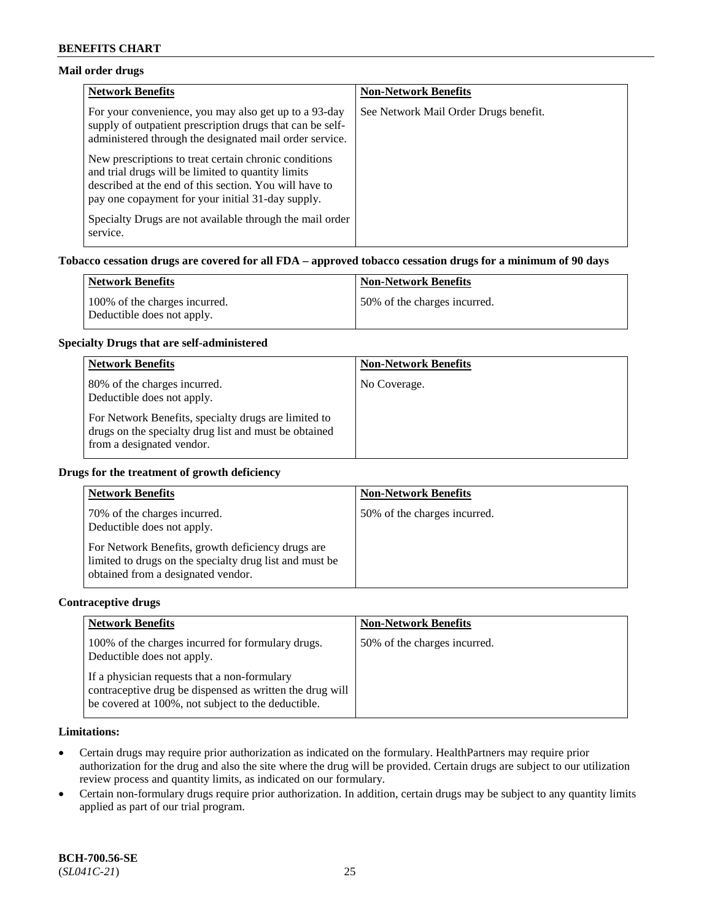### **Mail order drugs**

| <b>Network Benefits</b>                                                                                                                                                                                                    | <b>Non-Network Benefits</b>           |
|----------------------------------------------------------------------------------------------------------------------------------------------------------------------------------------------------------------------------|---------------------------------------|
| For your convenience, you may also get up to a 93-day<br>supply of outpatient prescription drugs that can be self-<br>administered through the designated mail order service.                                              | See Network Mail Order Drugs benefit. |
| New prescriptions to treat certain chronic conditions<br>and trial drugs will be limited to quantity limits<br>described at the end of this section. You will have to<br>pay one copayment for your initial 31-day supply. |                                       |
| Specialty Drugs are not available through the mail order<br>service.                                                                                                                                                       |                                       |

### **Tobacco cessation drugs are covered for all FDA – approved tobacco cessation drugs for a minimum of 90 days**

| Network Benefits                                            | <b>Non-Network Benefits</b>   |
|-------------------------------------------------------------|-------------------------------|
| 100% of the charges incurred.<br>Deductible does not apply. | 150% of the charges incurred. |

#### **Specialty Drugs that are self-administered**

| <b>Network Benefits</b>                                                                                                                    | <b>Non-Network Benefits</b> |
|--------------------------------------------------------------------------------------------------------------------------------------------|-----------------------------|
| 80% of the charges incurred.<br>Deductible does not apply.                                                                                 | No Coverage.                |
| For Network Benefits, specialty drugs are limited to<br>drugs on the specialty drug list and must be obtained<br>from a designated vendor. |                             |

#### **Drugs for the treatment of growth deficiency**

| <b>Network Benefits</b>                                                                                                                            | <b>Non-Network Benefits</b>  |
|----------------------------------------------------------------------------------------------------------------------------------------------------|------------------------------|
| 70% of the charges incurred.<br>Deductible does not apply.                                                                                         | 50% of the charges incurred. |
| For Network Benefits, growth deficiency drugs are<br>limited to drugs on the specialty drug list and must be<br>obtained from a designated vendor. |                              |

#### **Contraceptive drugs**

| <b>Network Benefits</b>                                                                                                                                        | <b>Non-Network Benefits</b>  |
|----------------------------------------------------------------------------------------------------------------------------------------------------------------|------------------------------|
| 100% of the charges incurred for formulary drugs.<br>Deductible does not apply.                                                                                | 50% of the charges incurred. |
| If a physician requests that a non-formulary<br>contraceptive drug be dispensed as written the drug will<br>be covered at 100%, not subject to the deductible. |                              |

### **Limitations:**

- Certain drugs may require prior authorization as indicated on the formulary. HealthPartners may require prior authorization for the drug and also the site where the drug will be provided. Certain drugs are subject to our utilization review process and quantity limits, as indicated on our formulary.
- Certain non-formulary drugs require prior authorization. In addition, certain drugs may be subject to any quantity limits applied as part of our trial program.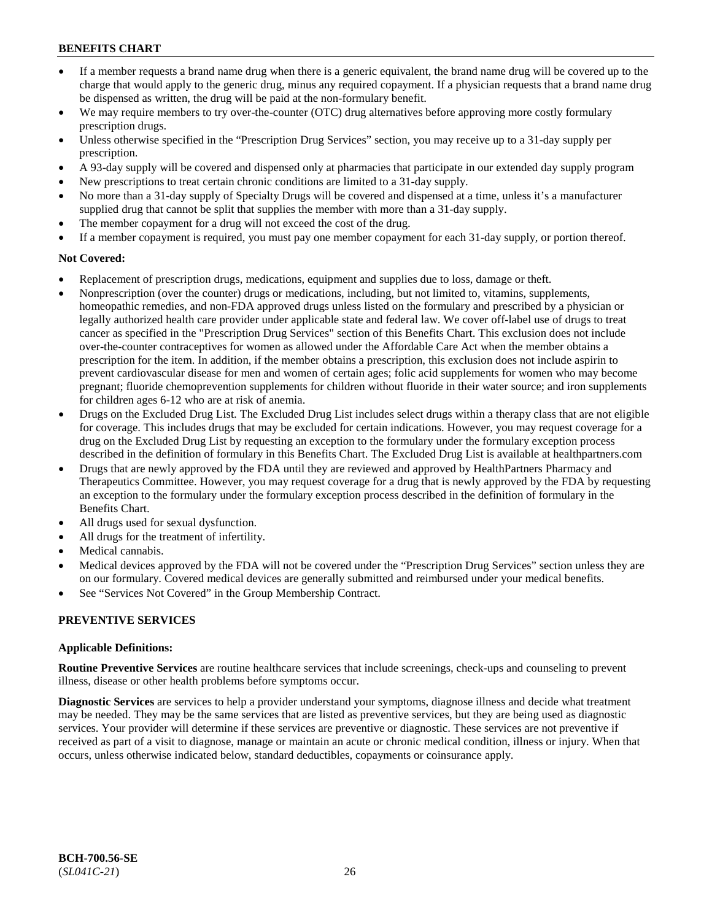- If a member requests a brand name drug when there is a generic equivalent, the brand name drug will be covered up to the charge that would apply to the generic drug, minus any required copayment. If a physician requests that a brand name drug be dispensed as written, the drug will be paid at the non-formulary benefit.
- We may require members to try over-the-counter (OTC) drug alternatives before approving more costly formulary prescription drugs.
- Unless otherwise specified in the "Prescription Drug Services" section, you may receive up to a 31-day supply per prescription.
- A 93-day supply will be covered and dispensed only at pharmacies that participate in our extended day supply program
- New prescriptions to treat certain chronic conditions are limited to a 31-day supply.
- No more than a 31-day supply of Specialty Drugs will be covered and dispensed at a time, unless it's a manufacturer supplied drug that cannot be split that supplies the member with more than a 31-day supply.
- The member copayment for a drug will not exceed the cost of the drug.
- If a member copayment is required, you must pay one member copayment for each 31-day supply, or portion thereof.

## **Not Covered:**

- Replacement of prescription drugs, medications, equipment and supplies due to loss, damage or theft.
- Nonprescription (over the counter) drugs or medications, including, but not limited to, vitamins, supplements, homeopathic remedies, and non-FDA approved drugs unless listed on the formulary and prescribed by a physician or legally authorized health care provider under applicable state and federal law. We cover off-label use of drugs to treat cancer as specified in the "Prescription Drug Services" section of this Benefits Chart. This exclusion does not include over-the-counter contraceptives for women as allowed under the Affordable Care Act when the member obtains a prescription for the item. In addition, if the member obtains a prescription, this exclusion does not include aspirin to prevent cardiovascular disease for men and women of certain ages; folic acid supplements for women who may become pregnant; fluoride chemoprevention supplements for children without fluoride in their water source; and iron supplements for children ages 6-12 who are at risk of anemia.
- Drugs on the Excluded Drug List. The Excluded Drug List includes select drugs within a therapy class that are not eligible for coverage. This includes drugs that may be excluded for certain indications. However, you may request coverage for a drug on the Excluded Drug List by requesting an exception to the formulary under the formulary exception process described in the definition of formulary in this Benefits Chart. The Excluded Drug List is available at [healthpartners.com](http://www.healthpartners.com/)
- Drugs that are newly approved by the FDA until they are reviewed and approved by HealthPartners Pharmacy and Therapeutics Committee. However, you may request coverage for a drug that is newly approved by the FDA by requesting an exception to the formulary under the formulary exception process described in the definition of formulary in the Benefits Chart.
- All drugs used for sexual dysfunction.
- All drugs for the treatment of infertility.
- Medical cannabis.
- Medical devices approved by the FDA will not be covered under the "Prescription Drug Services" section unless they are on our formulary. Covered medical devices are generally submitted and reimbursed under your medical benefits.
- See "Services Not Covered" in the Group Membership Contract.

## **PREVENTIVE SERVICES**

### **Applicable Definitions:**

**Routine Preventive Services** are routine healthcare services that include screenings, check-ups and counseling to prevent illness, disease or other health problems before symptoms occur.

**Diagnostic Services** are services to help a provider understand your symptoms, diagnose illness and decide what treatment may be needed. They may be the same services that are listed as preventive services, but they are being used as diagnostic services. Your provider will determine if these services are preventive or diagnostic. These services are not preventive if received as part of a visit to diagnose, manage or maintain an acute or chronic medical condition, illness or injury. When that occurs, unless otherwise indicated below, standard deductibles, copayments or coinsurance apply.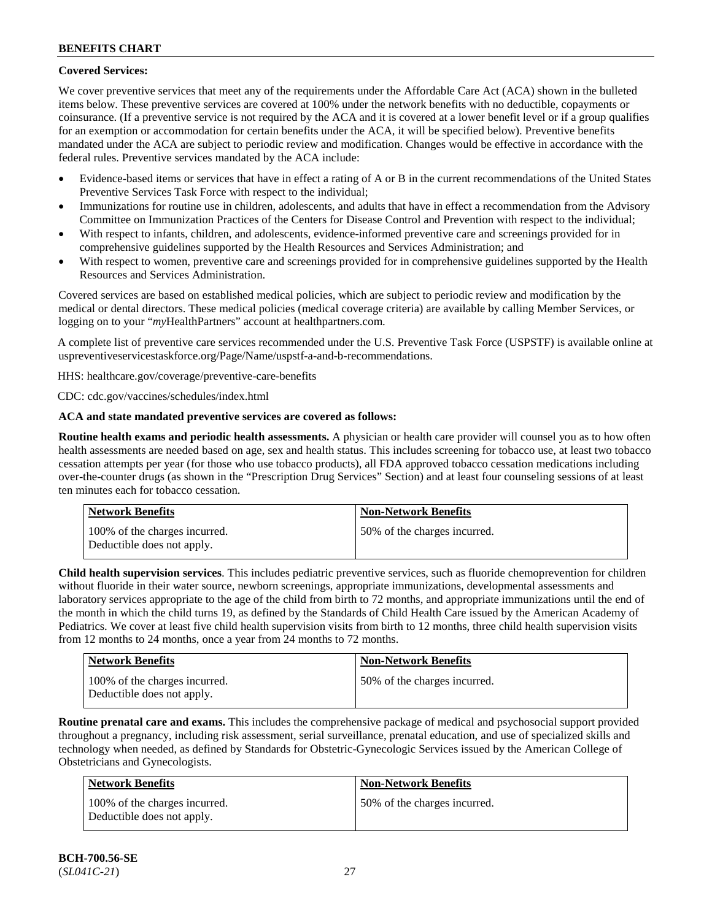## **Covered Services:**

We cover preventive services that meet any of the requirements under the Affordable Care Act (ACA) shown in the bulleted items below. These preventive services are covered at 100% under the network benefits with no deductible, copayments or coinsurance. (If a preventive service is not required by the ACA and it is covered at a lower benefit level or if a group qualifies for an exemption or accommodation for certain benefits under the ACA, it will be specified below). Preventive benefits mandated under the ACA are subject to periodic review and modification. Changes would be effective in accordance with the federal rules. Preventive services mandated by the ACA include:

- Evidence-based items or services that have in effect a rating of A or B in the current recommendations of the United States Preventive Services Task Force with respect to the individual;
- Immunizations for routine use in children, adolescents, and adults that have in effect a recommendation from the Advisory Committee on Immunization Practices of the Centers for Disease Control and Prevention with respect to the individual;
- With respect to infants, children, and adolescents, evidence-informed preventive care and screenings provided for in comprehensive guidelines supported by the Health Resources and Services Administration; and
- With respect to women, preventive care and screenings provided for in comprehensive guidelines supported by the Health Resources and Services Administration.

Covered services are based on established medical policies, which are subject to periodic review and modification by the medical or dental directors. These medical policies (medical coverage criteria) are available by calling Member Services, or logging on to your "*my*HealthPartners" account at [healthpartners.com.](http://www.healthpartners.com/)

A complete list of preventive care services recommended under the U.S. Preventive Task Force (USPSTF) is available online at [uspreventiveservicestaskforce.org/Page/Name/uspstf-a-and-b-recommendations.](https://www.uspreventiveservicestaskforce.org/Page/Name/uspstf-a-and-b-recommendations-by-date/)

HHS: [healthcare.gov/coverage/preventive-care-benefits](https://www.healthcare.gov/coverage/preventive-care-benefits/)

CDC: [cdc.gov/vaccines/schedules/index.html](https://www.cdc.gov/vaccines/schedules/index.html)

### **ACA and state mandated preventive services are covered as follows:**

**Routine health exams and periodic health assessments.** A physician or health care provider will counsel you as to how often health assessments are needed based on age, sex and health status. This includes screening for tobacco use, at least two tobacco cessation attempts per year (for those who use tobacco products), all FDA approved tobacco cessation medications including over-the-counter drugs (as shown in the "Prescription Drug Services" Section) and at least four counseling sessions of at least ten minutes each for tobacco cessation.

| Network Benefits                                            | <b>Non-Network Benefits</b>  |
|-------------------------------------------------------------|------------------------------|
| 100% of the charges incurred.<br>Deductible does not apply. | 50% of the charges incurred. |

**Child health supervision services**. This includes pediatric preventive services, such as fluoride chemoprevention for children without fluoride in their water source, newborn screenings, appropriate immunizations, developmental assessments and laboratory services appropriate to the age of the child from birth to 72 months, and appropriate immunizations until the end of the month in which the child turns 19, as defined by the Standards of Child Health Care issued by the American Academy of Pediatrics. We cover at least five child health supervision visits from birth to 12 months, three child health supervision visits from 12 months to 24 months, once a year from 24 months to 72 months.

| <b>Network Benefits</b>                                     | <b>Non-Network Benefits</b>  |
|-------------------------------------------------------------|------------------------------|
| 100% of the charges incurred.<br>Deductible does not apply. | 50% of the charges incurred. |

**Routine prenatal care and exams.** This includes the comprehensive package of medical and psychosocial support provided throughout a pregnancy, including risk assessment, serial surveillance, prenatal education, and use of specialized skills and technology when needed, as defined by Standards for Obstetric-Gynecologic Services issued by the American College of Obstetricians and Gynecologists.

| Network Benefits                                            | <b>Non-Network Benefits</b>  |
|-------------------------------------------------------------|------------------------------|
| 100% of the charges incurred.<br>Deductible does not apply. | 50% of the charges incurred. |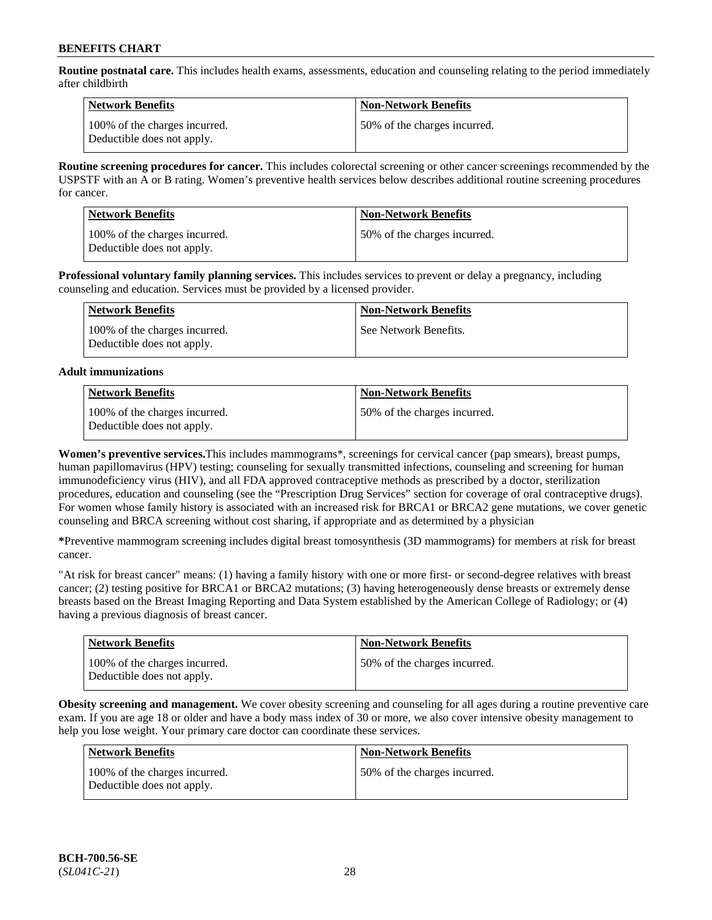**Routine postnatal care.** This includes health exams, assessments, education and counseling relating to the period immediately after childbirth

| Network Benefits                                            | <b>Non-Network Benefits</b>  |
|-------------------------------------------------------------|------------------------------|
| 100% of the charges incurred.<br>Deductible does not apply. | 50% of the charges incurred. |

**Routine screening procedures for cancer.** This includes colorectal screening or other cancer screenings recommended by the USPSTF with an A or B rating. Women's preventive health services below describes additional routine screening procedures for cancer.

| <b>Network Benefits</b>                                     | <b>Non-Network Benefits</b>  |
|-------------------------------------------------------------|------------------------------|
| 100% of the charges incurred.<br>Deductible does not apply. | 50% of the charges incurred. |

**Professional voluntary family planning services.** This includes services to prevent or delay a pregnancy, including counseling and education. Services must be provided by a licensed provider.

| Network Benefits                                            | <b>Non-Network Benefits</b> |
|-------------------------------------------------------------|-----------------------------|
| 100% of the charges incurred.<br>Deductible does not apply. | See Network Benefits.       |

### **Adult immunizations**

| <b>Network Benefits</b>                                     | <b>Non-Network Benefits</b>  |
|-------------------------------------------------------------|------------------------------|
| 100% of the charges incurred.<br>Deductible does not apply. | 50% of the charges incurred. |

**Women's preventive services.**This includes mammograms\*, screenings for cervical cancer (pap smears), breast pumps, human papillomavirus (HPV) testing; counseling for sexually transmitted infections, counseling and screening for human immunodeficiency virus (HIV), and all FDA approved contraceptive methods as prescribed by a doctor, sterilization procedures, education and counseling (see the "Prescription Drug Services" section for coverage of oral contraceptive drugs). For women whose family history is associated with an increased risk for BRCA1 or BRCA2 gene mutations, we cover genetic counseling and BRCA screening without cost sharing, if appropriate and as determined by a physician

**\***Preventive mammogram screening includes digital breast tomosynthesis (3D mammograms) for members at risk for breast cancer.

"At risk for breast cancer" means: (1) having a family history with one or more first- or second-degree relatives with breast cancer; (2) testing positive for BRCA1 or BRCA2 mutations; (3) having heterogeneously dense breasts or extremely dense breasts based on the Breast Imaging Reporting and Data System established by the American College of Radiology; or (4) having a previous diagnosis of breast cancer.

| <b>Network Benefits</b>                                     | <b>Non-Network Benefits</b>  |
|-------------------------------------------------------------|------------------------------|
| 100% of the charges incurred.<br>Deductible does not apply. | 50% of the charges incurred. |

**Obesity screening and management.** We cover obesity screening and counseling for all ages during a routine preventive care exam. If you are age 18 or older and have a body mass index of 30 or more, we also cover intensive obesity management to help you lose weight. Your primary care doctor can coordinate these services.

| <b>Network Benefits</b>                                     | <b>Non-Network Benefits</b>  |
|-------------------------------------------------------------|------------------------------|
| 100% of the charges incurred.<br>Deductible does not apply. | 50% of the charges incurred. |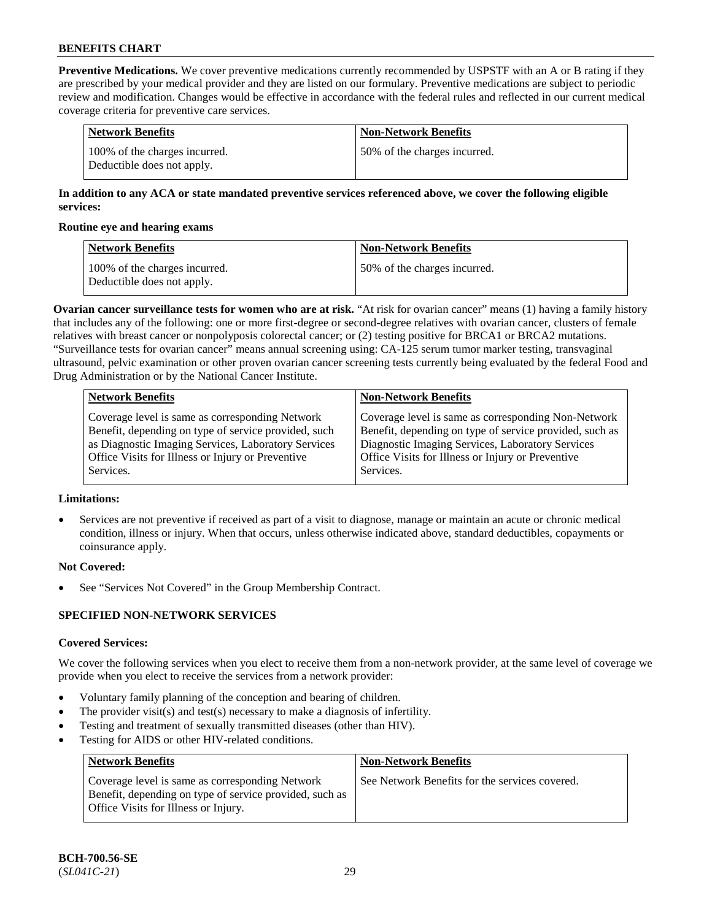**Preventive Medications.** We cover preventive medications currently recommended by USPSTF with an A or B rating if they are prescribed by your medical provider and they are listed on our formulary. Preventive medications are subject to periodic review and modification. Changes would be effective in accordance with the federal rules and reflected in our current medical coverage criteria for preventive care services.

| Network Benefits                                            | <b>Non-Network Benefits</b>  |
|-------------------------------------------------------------|------------------------------|
| 100% of the charges incurred.<br>Deductible does not apply. | 50% of the charges incurred. |

### **In addition to any ACA or state mandated preventive services referenced above, we cover the following eligible services:**

#### **Routine eye and hearing exams**

| <b>Network Benefits</b>                                     | <b>Non-Network Benefits</b>  |
|-------------------------------------------------------------|------------------------------|
| 100% of the charges incurred.<br>Deductible does not apply. | 50% of the charges incurred. |

**Ovarian cancer surveillance tests for women who are at risk.** "At risk for ovarian cancer" means (1) having a family history that includes any of the following: one or more first-degree or second-degree relatives with ovarian cancer, clusters of female relatives with breast cancer or nonpolyposis colorectal cancer; or (2) testing positive for BRCA1 or BRCA2 mutations. "Surveillance tests for ovarian cancer" means annual screening using: CA-125 serum tumor marker testing, transvaginal ultrasound, pelvic examination or other proven ovarian cancer screening tests currently being evaluated by the federal Food and Drug Administration or by the National Cancer Institute.

| <b>Network Benefits</b>                              | <b>Non-Network Benefits</b>                             |
|------------------------------------------------------|---------------------------------------------------------|
| Coverage level is same as corresponding Network      | Coverage level is same as corresponding Non-Network     |
| Benefit, depending on type of service provided, such | Benefit, depending on type of service provided, such as |
| as Diagnostic Imaging Services, Laboratory Services  | Diagnostic Imaging Services, Laboratory Services        |
| Office Visits for Illness or Injury or Preventive    | Office Visits for Illness or Injury or Preventive       |
| Services.                                            | Services.                                               |

### **Limitations:**

• Services are not preventive if received as part of a visit to diagnose, manage or maintain an acute or chronic medical condition, illness or injury. When that occurs, unless otherwise indicated above, standard deductibles, copayments or coinsurance apply.

### **Not Covered:**

See "Services Not Covered" in the Group Membership Contract.

### **SPECIFIED NON-NETWORK SERVICES**

### **Covered Services:**

We cover the following services when you elect to receive them from a non-network provider, at the same level of coverage we provide when you elect to receive the services from a network provider:

- Voluntary family planning of the conception and bearing of children.
- The provider visit(s) and test(s) necessary to make a diagnosis of infertility.
- Testing and treatment of sexually transmitted diseases (other than HIV).
- Testing for AIDS or other HIV-related conditions.

| <b>Network Benefits</b>                                                                                                                            | <b>Non-Network Benefits</b>                    |
|----------------------------------------------------------------------------------------------------------------------------------------------------|------------------------------------------------|
| Coverage level is same as corresponding Network<br>Benefit, depending on type of service provided, such as<br>Office Visits for Illness or Injury. | See Network Benefits for the services covered. |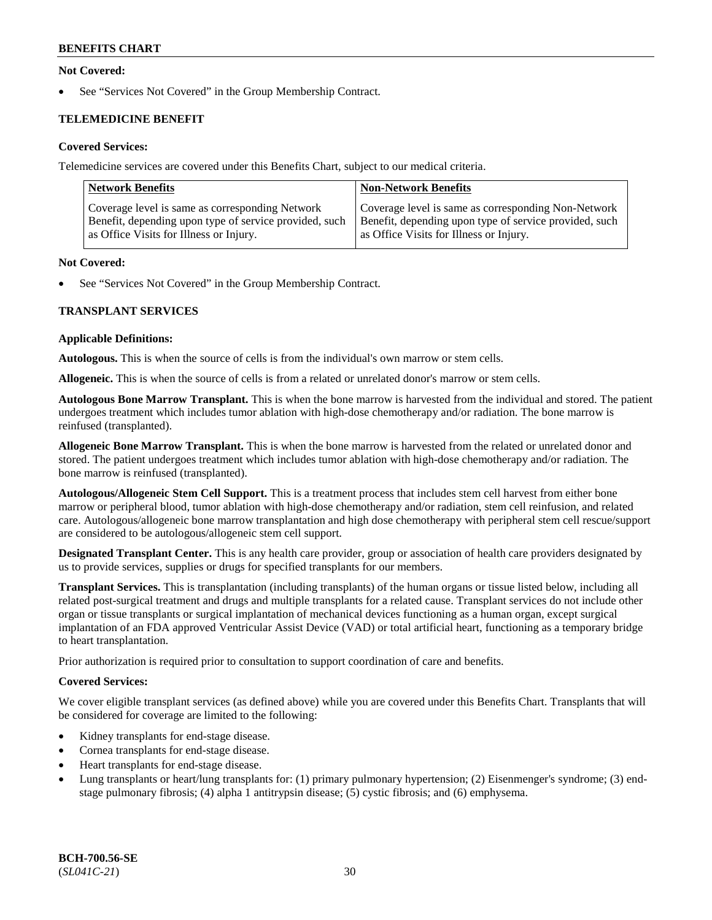### **Not Covered:**

See "Services Not Covered" in the Group Membership Contract.

## **TELEMEDICINE BENEFIT**

### **Covered Services:**

Telemedicine services are covered under this Benefits Chart, subject to our medical criteria.

| <b>Network Benefits</b>                                | <b>Non-Network Benefits</b>                            |
|--------------------------------------------------------|--------------------------------------------------------|
| Coverage level is same as corresponding Network        | Coverage level is same as corresponding Non-Network    |
| Benefit, depending upon type of service provided, such | Benefit, depending upon type of service provided, such |
| as Office Visits for Illness or Injury.                | as Office Visits for Illness or Injury.                |

#### **Not Covered:**

See "Services Not Covered" in the Group Membership Contract.

### **TRANSPLANT SERVICES**

#### **Applicable Definitions:**

**Autologous.** This is when the source of cells is from the individual's own marrow or stem cells.

**Allogeneic.** This is when the source of cells is from a related or unrelated donor's marrow or stem cells.

**Autologous Bone Marrow Transplant.** This is when the bone marrow is harvested from the individual and stored. The patient undergoes treatment which includes tumor ablation with high-dose chemotherapy and/or radiation. The bone marrow is reinfused (transplanted).

**Allogeneic Bone Marrow Transplant.** This is when the bone marrow is harvested from the related or unrelated donor and stored. The patient undergoes treatment which includes tumor ablation with high-dose chemotherapy and/or radiation. The bone marrow is reinfused (transplanted).

**Autologous/Allogeneic Stem Cell Support.** This is a treatment process that includes stem cell harvest from either bone marrow or peripheral blood, tumor ablation with high-dose chemotherapy and/or radiation, stem cell reinfusion, and related care. Autologous/allogeneic bone marrow transplantation and high dose chemotherapy with peripheral stem cell rescue/support are considered to be autologous/allogeneic stem cell support.

**Designated Transplant Center.** This is any health care provider, group or association of health care providers designated by us to provide services, supplies or drugs for specified transplants for our members.

**Transplant Services.** This is transplantation (including transplants) of the human organs or tissue listed below, including all related post-surgical treatment and drugs and multiple transplants for a related cause. Transplant services do not include other organ or tissue transplants or surgical implantation of mechanical devices functioning as a human organ, except surgical implantation of an FDA approved Ventricular Assist Device (VAD) or total artificial heart, functioning as a temporary bridge to heart transplantation.

Prior authorization is required prior to consultation to support coordination of care and benefits.

### **Covered Services:**

We cover eligible transplant services (as defined above) while you are covered under this Benefits Chart. Transplants that will be considered for coverage are limited to the following:

- Kidney transplants for end-stage disease.
- Cornea transplants for end-stage disease.
- Heart transplants for end-stage disease.
- Lung transplants or heart/lung transplants for: (1) primary pulmonary hypertension; (2) Eisenmenger's syndrome; (3) endstage pulmonary fibrosis; (4) alpha 1 antitrypsin disease; (5) cystic fibrosis; and (6) emphysema.